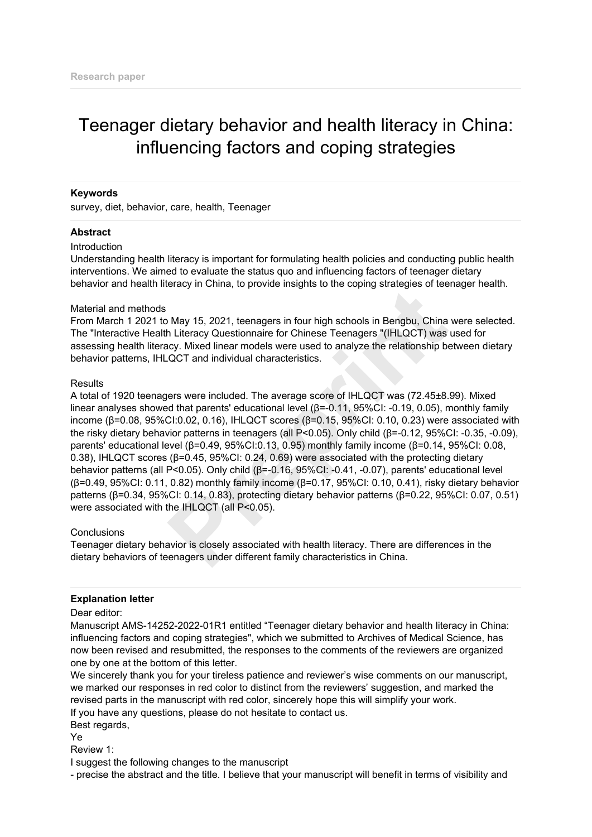# Teenager dietary behavior and health literacy in China: influencing factors and coping strategies

## **Keywords**

survey, diet, behavior, care, health, Teenager

## **Abstract**

#### Introduction

Understanding health literacy is important for formulating health policies and conducting public health interventions. We aimed to evaluate the status quo and influencing factors of teenager dietary behavior and health literacy in China, to provide insights to the coping strategies of teenager health.

#### Material and methods

From March 1 2021 to May 15, 2021, teenagers in four high schools in Bengbu, China were selected. The "Interactive Health Literacy Questionnaire for Chinese Teenagers "(IHLQCT) was used for assessing health literacy. Mixed linear models were used to analyze the relationship between dietary behavior patterns, IHLQCT and individual characteristics.

## **Results**

A total of 1920 teenagers were included. The average score of IHLQCT was (72.45±8.99). Mixed linear analyses showed that parents' educational level (β=-0.11, 95%CI: -0.19, 0.05), monthly family income ( $β=0.08$ ,  $95%$ CI:0.02, 0.16), IHLQCT scores ( $β=0.15$ ,  $95%$ CI: 0.10, 0.23) were associated with the risky dietary behavior patterns in teenagers (all P<0.05). Only child (β=-0.12, 95%CI: -0.35, -0.09), parents' educational level (β=0.49, 95%CI:0.13, 0.95) monthly family income (β=0.14, 95%CI: 0.08, 0.38), IHLQCT scores (β=0.45, 95%CI: 0.24, 0.69) were associated with the protecting dietary behavior patterns (all P<0.05). Only child (β=-0.16, 95%CI: -0.41, -0.07), parents' educational level (β=0.49, 95%CI: 0.11, 0.82) monthly family income (β=0.17, 95%CI: 0.10, 0.41), risky dietary behavior patterns (β=0.34, 95%CI: 0.14, 0.83), protecting dietary behavior patterns (β=0.22, 95%CI: 0.07, 0.51) were associated with the IHLQCT (all P<0.05). b. May 15, 2021, teenagers in four high schools in Bengbu, China<br>
May 15, 2021, teenagers in four high schools in Bengbu, China<br>
CoCT and individual characteristics.<br>
COCT and individual characteristics.<br>
Here is were in

#### **Conclusions**

Teenager dietary behavior is closely associated with health literacy. There are differences in the dietary behaviors of teenagers under different family characteristics in China.

## **Explanation letter**

Dear editor:

Manuscript AMS-14252-2022-01R1 entitled "Teenager dietary behavior and health literacy in China: influencing factors and coping strategies", which we submitted to Archives of Medical Science, has now been revised and resubmitted, the responses to the comments of the reviewers are organized one by one at the bottom of this letter.

We sincerely thank you for your tireless patience and reviewer's wise comments on our manuscript, we marked our responses in red color to distinct from the reviewers' suggestion, and marked the revised parts in the manuscript with red color, sincerely hope this will simplify your work. If you have any questions, please do not hesitate to contact us.

Best regards,

Ye

Review 1:

I suggest the following changes to the manuscript

- precise the abstract and the title. I believe that your manuscript will benefit in terms of visibility and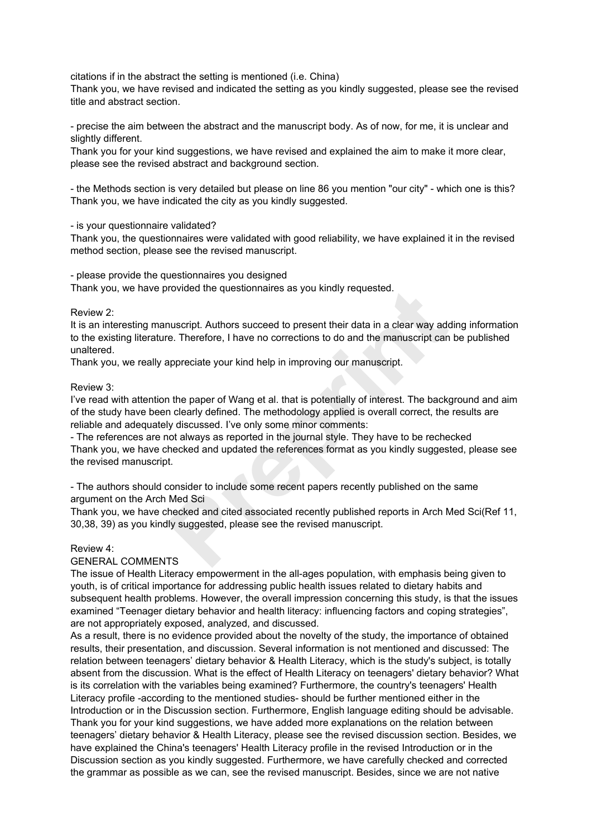citations if in the abstract the setting is mentioned (i.e. China)

Thank you, we have revised and indicated the setting as you kindly suggested, please see the revised title and abstract section.

- precise the aim between the abstract and the manuscript body. As of now, for me, it is unclear and slightly different.

Thank you for your kind suggestions, we have revised and explained the aim to make it more clear, please see the revised abstract and background section.

- the Methods section is very detailed but please on line 86 you mention "our city" - which one is this? Thank you, we have indicated the city as you kindly suggested.

## - is your questionnaire validated?

Thank you, the questionnaires were validated with good reliability, we have explained it in the revised method section, please see the revised manuscript.

- please provide the questionnaires you designed

Thank you, we have provided the questionnaires as you kindly requested.

# Review 2:

It is an interesting manuscript. Authors succeed to present their data in a clear way adding information to the existing literature. Therefore, I have no corrections to do and the manuscript can be published unaltered.

Thank you, we really appreciate your kind help in improving our manuscript.

# Review 3:

I've read with attention the paper of Wang et al. that is potentially of interest. The background and aim of the study have been clearly defined. The methodology applied is overall correct, the results are reliable and adequately discussed. I've only some minor comments: provided the questionnaires as you kindly requested.<br>
Therefore, I have no corrections to do and the manuscript can<br>
appreciate your kind help in improving our manuscript.<br>
The paper of Wang et al. that is potentially of i

- The references are not always as reported in the journal style. They have to be rechecked Thank you, we have checked and updated the references format as you kindly suggested, please see the revised manuscript.

- The authors should consider to include some recent papers recently published on the same argument on the Arch Med Sci

Thank you, we have checked and cited associated recently published reports in Arch Med Sci(Ref 11, 30,38, 39) as you kindly suggested, please see the revised manuscript.

# Review 4:

# GENERAL COMMENTS

The issue of Health Literacy empowerment in the all-ages population, with emphasis being given to youth, is of critical importance for addressing public health issues related to dietary habits and subsequent health problems. However, the overall impression concerning this study, is that the issues examined "Teenager dietary behavior and health literacy: influencing factors and coping strategies", are not appropriately exposed, analyzed, and discussed.

As a result, there is no evidence provided about the novelty of the study, the importance of obtained results, their presentation, and discussion. Several information is not mentioned and discussed: The relation between teenagers' dietary behavior & Health Literacy, which is the study's subject, is totally absent from the discussion. What is the effect of Health Literacy on teenagers' dietary behavior? What is its correlation with the variables being examined? Furthermore, the country's teenagers' Health Literacy profile -according to the mentioned studies- should be further mentioned either in the Introduction or in the Discussion section. Furthermore, English language editing should be advisable. Thank you for your kind suggestions, we have added more explanations on the relation between teenagers' dietary behavior & Health Literacy, please see the revised discussion section. Besides, we have explained the China's teenagers' Health Literacy profile in the revised Introduction or in the Discussion section as you kindly suggested. Furthermore, we have carefully checked and corrected the grammar as possible as we can, see the revised manuscript. Besides, since we are not native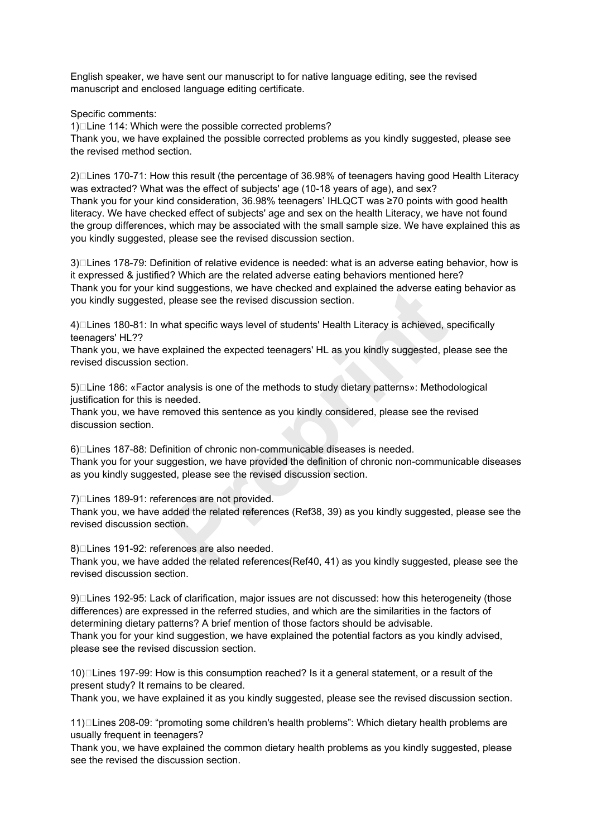English speaker, we have sent our manuscript to for native language editing, see the revised manuscript and enclosed language editing certificate.

Specific comments:

1)□Line 114: Which were the possible corrected problems? Thank you, we have explained the possible corrected problems as you kindly suggested, please see the revised method section.

 $2$ ) $\Box$ Lines 170-71: How this result (the percentage of 36.98% of teenagers having good Health Literacy was extracted? What was the effect of subjects' age (10-18 years of age), and sex? Thank you for your kind consideration, 36.98% teenagers' IHLQCT was ≥70 points with good health literacy. We have checked effect of subjects' age and sex on the health Literacy, we have not found the group differences, which may be associated with the small sample size. We have explained this as you kindly suggested, please see the revised discussion section.

3) Lines 178-79: Definition of relative evidence is needed: what is an adverse eating behavior, how is it expressed & justified? Which are the related adverse eating behaviors mentioned here? Thank you for your kind suggestions, we have checked and explained the adverse eating behavior as you kindly suggested, please see the revised discussion section.

4)□Lines 180-81: In what specific ways level of students' Health Literacy is achieved, specifically teenagers' HL??

Thank you, we have explained the expected teenagers' HL as you kindly suggested, please see the revised discussion section.

5)□Line 186: «Factor analysis is one of the methods to study dietary patterns»: Methodological justification for this is needed.

Thank you, we have removed this sentence as you kindly considered, please see the revised discussion section.

6)□Lines 187-88: Definition of chronic non-communicable diseases is needed. Thank you for your suggestion, we have provided the definition of chronic non-communicable diseases as you kindly suggested, please see the revised discussion section. nd suggestions, we nave checked and explained the adverse eati<br>please see the revised discussion section.<br>*Preprion and the expected teenagers'* HL as you kindly suggested, please is achieved, is<br>axplained the expected tee

7)□Lines 189-91: references are not provided.

Thank you, we have added the related references (Ref38, 39) as you kindly suggested, please see the revised discussion section.

8)□Lines 191-92: references are also needed.

Thank you, we have added the related references(Ref40, 41) as you kindly suggested, please see the revised discussion section.

9) Lines 192-95: Lack of clarification, major issues are not discussed: how this heterogeneity (those differences) are expressed in the referred studies, and which are the similarities in the factors of determining dietary patterns? A brief mention of those factors should be advisable. Thank you for your kind suggestion, we have explained the potential factors as you kindly advised, please see the revised discussion section.

10)□Lines 197-99: How is this consumption reached? Is it a general statement, or a result of the present study? It remains to be cleared.

Thank you, we have explained it as you kindly suggested, please see the revised discussion section.

11) Lines 208-09: "promoting some children's health problems": Which dietary health problems are usually frequent in teenagers?

Thank you, we have explained the common dietary health problems as you kindly suggested, please see the revised the discussion section.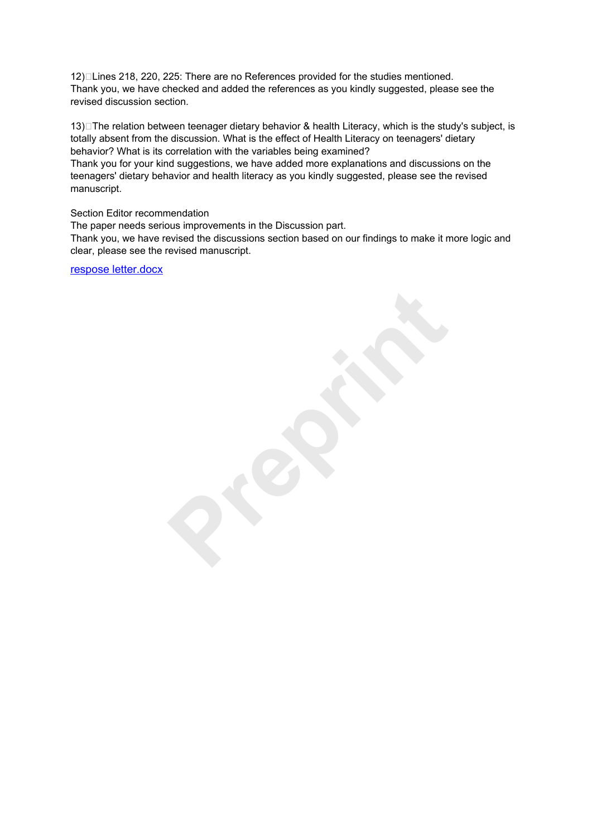12) $\Box$ Lines 218, 220, 225: There are no References provided for the studies mentioned. Thank you, we have checked and added the references as you kindly suggested, please see the revised discussion section.

13) The relation between teenager dietary behavior & health Literacy, which is the study's subject, is totally absent from the discussion. What is the effect of Health Literacy on teenagers' dietary behavior? What is its correlation with the variables being examined?

Thank you for your kind suggestions, we have added more explanations and discussions on the teenagers' dietary behavior and health literacy as you kindly suggested, please see the revised manuscript.

Section Editor recommendation

The paper needs serious improvements in the Discussion part.

Thank you, we have revised the discussions section based on our findings to make it more logic and clear, please see the revised manuscript.

[respose letter.docx](https://www.editorialsystem.com/dl/a/266682/b2054d67716bf74f6a108c20fb983383/)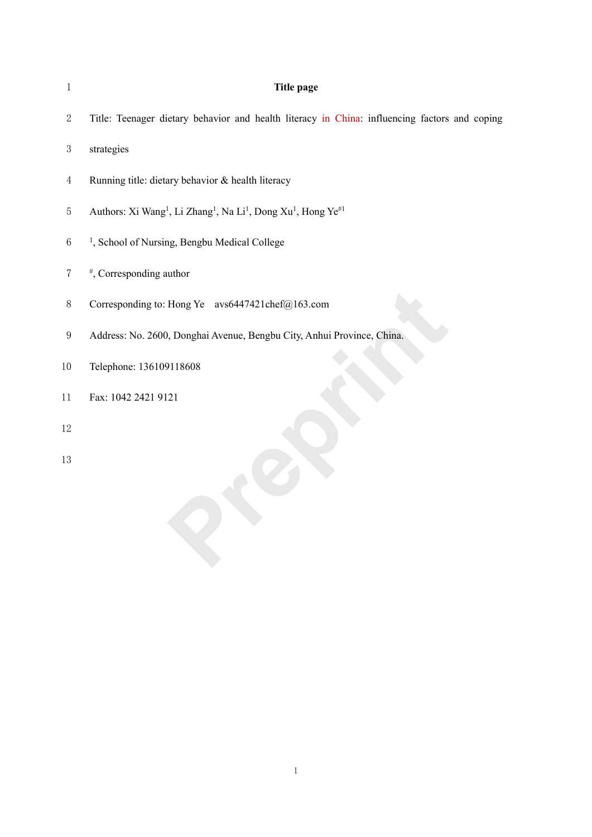| <b>Title page</b>                                                                                                         |
|---------------------------------------------------------------------------------------------------------------------------|
| Title: Teenager dietary behavior and health literacy in China: influencing factors and coping                             |
| strategies                                                                                                                |
| Running title: dietary behavior & health literacy                                                                         |
| Authors: Xi Wang <sup>1</sup> , Li Zhang <sup>1</sup> , Na Li <sup>1</sup> , Dong Xu <sup>1</sup> , Hong Ye <sup>#1</sup> |
| <sup>1</sup> , School of Nursing, Bengbu Medical College                                                                  |
| #, Corresponding author                                                                                                   |
| Corresponding to: Hong Ye avs6447421chef@163.com                                                                          |
| Address: No. 2600, Donghai Avenue, Bengbu City, Anhui Province, China.                                                    |
| Telephone: 136109118608                                                                                                   |
| Fax: 1042 2421 9121                                                                                                       |
|                                                                                                                           |
|                                                                                                                           |
|                                                                                                                           |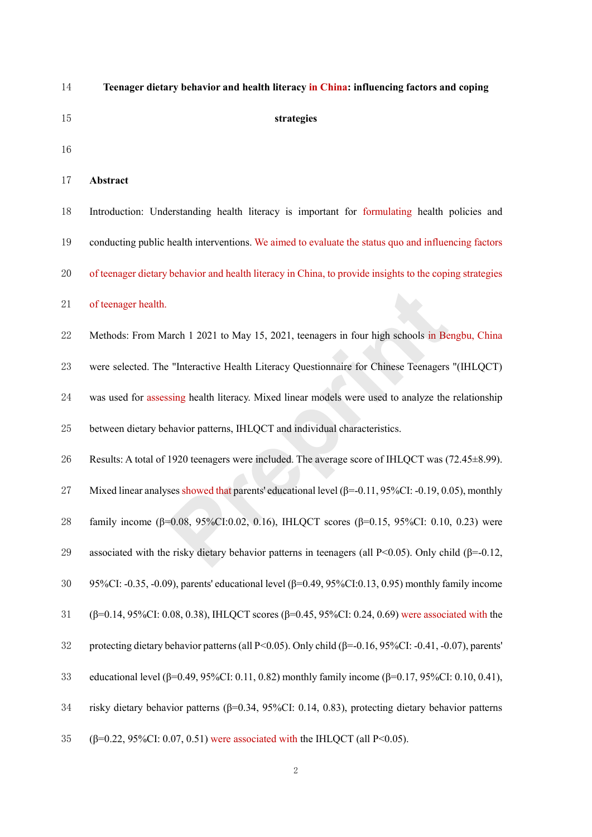| 14 | Teenager dietary behavior and health literacy in China: influencing factors and coping                  |
|----|---------------------------------------------------------------------------------------------------------|
| 15 | strategies                                                                                              |
| 16 |                                                                                                         |
| 17 | <b>Abstract</b>                                                                                         |
| 18 | Introduction: Understanding health literacy is important for formulating health policies and            |
| 19 | conducting public health interventions. We aimed to evaluate the status quo and influencing factors     |
| 20 | of teenager dietary behavior and health literacy in China, to provide insights to the coping strategies |

of teenager health.

 Methods: From March 1 2021 to May 15, 2021, teenagers in four high schools in Bengbu, China were selected. The "Interactive Health Literacy Questionnaire for Chinese Teenagers "(IHLQCT) was used for assessing health literacy. Mixed linear models were used to analyze the relationship between dietary behavior patterns, IHLQCT and individual characteristics. arch 1 2021 to May 15, 2021, teenagers in four high schools in Be<br><sup>9</sup> "Interactive Health Literacy Questionnaire for Chinese Teenagers<br><sup>9</sup> Sing health literacy. Mixed linear models were used to analyze the<br><sup>9</sup> Ahavior patt

Results: A total of 1920 teenagers were included. The average score of IHLQCT was (72.45±8.99).

Mixed linear analyses showed that parents' educational level (β=-0.11, 95%CI: -0.19, 0.05), monthly

- family income (β=0.08, 95%CI:0.02, 0.16), IHLQCT scores (β=0.15, 95%CI: 0.10, 0.23) were
- 29 associated with the risky dietary behavior patterns in teenagers (all P<0.05). Only child ( $\beta$ =-0.12,
- 95%CI: -0.35, -0.09), parents' educational level (β=0.49, 95%CI:0.13, 0.95) monthly family income
- (β=0.14, 95%CI: 0.08, 0.38), IHLQCT scores (β=0.45, 95%CI: 0.24, 0.69) were associated with the
- protecting dietary behavior patterns(all P<0.05). Only child (β=-0.16, 95%CI: -0.41, -0.07), parents'
- educational level (β=0.49, 95%CI: 0.11, 0.82) monthly family income (β=0.17, 95%CI: 0.10, 0.41),
- risky dietary behavior patterns (β=0.34, 95%CI: 0.14, 0.83), protecting dietary behavior patterns
- 35 ( $\beta$ =0.22, 95%CI: 0.07, 0.51) were associated with the IHLQCT (all P<0.05).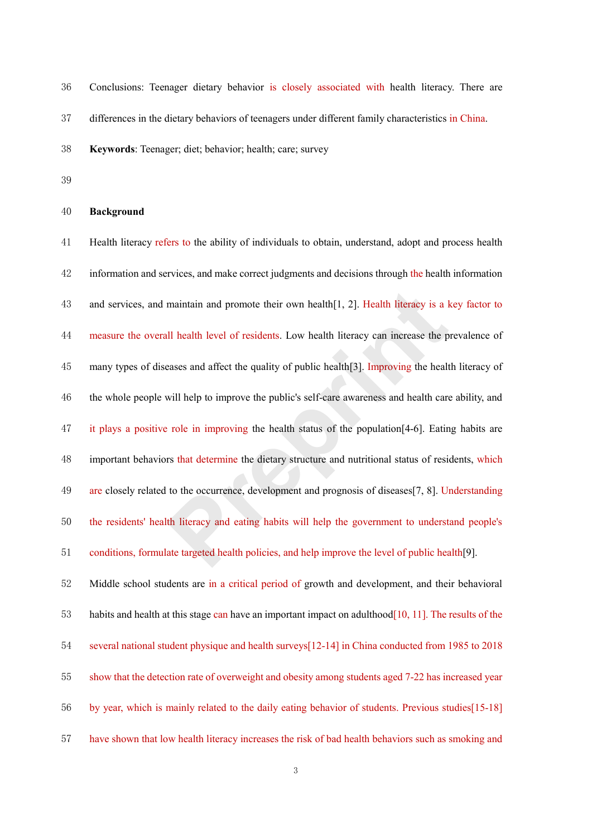Conclusions: Teenager dietary behavior is closely associated with health literacy. There are differences in the dietary behaviors of teenagers under different family characteristics in China.

**Keywords**: Teenager; diet; behavior; health; care; survey

**Background**

 Health literacy refers to the ability of individuals to obtain, understand, adopt and process health 42 information and services, and make correct judgments and decisions through the health information and services, and maintain and promote their own health[1, 2]. Health literacy is a key factor to measure the overall health level of residents. Low health literacy can increase the prevalence of many types of diseases and affect the quality of public health[3]. Improving the health literacy of the whole people will help to improve the public's self-care awareness and health care ability, and it plays a positive role in improving the health status of the population[4-6]. Eating habits are important behaviors that determine the dietary structure and nutritional status of residents, which are closely related to the occurrence, development and prognosis of diseases[7, 8]. Understanding the residents' health literacy and eating habits will help the government to understand people's conditions, formulate targeted health policies, and help improve the level of public health[9]. Middle school students are in a critical period of growth and development, and their behavioral habits and health at this stage can have an important impact on adulthood[10, 11]. The results of the several national student physique and health surveys[12-14] in China conducted from 1985 to 2018 show that the detection rate of overweight and obesity among students aged 7-22 has increased year by year, which is mainly related to the daily eating behavior of students. Previous studies[15-18] maintain and promote their own health[1, 2]. Health literacy is a lll health level of residents. Low health literacy can increase the peases and affect the quality of public health[3]. Improving the healt will help to impr

have shown that low health literacy increases the risk of bad health behaviors such as smoking and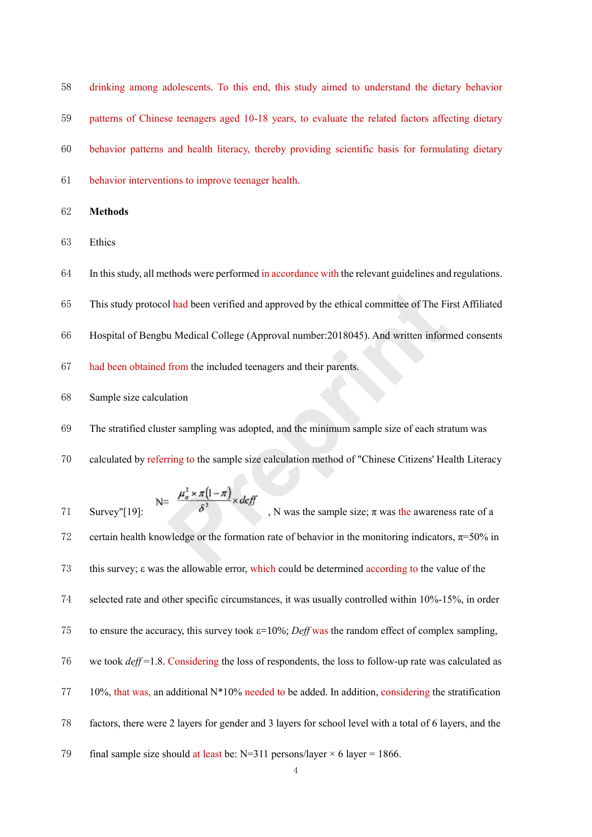drinking among adolescents. To this end, this study aimed to understand the dietary behavior patterns of Chinese teenagers aged 10-18 years, to evaluate the related factors affecting dietary behavior patterns and health literacy, thereby providing scientific basis for formulating dietary behavior interventions to improve teenager health.

**Methods**

Ethics

In this study, all methods were performed in accordance with the relevant guidelines and regulations.

This study protocol had been verified and approved by the ethical committee of The First Affiliated

- Hospital of Bengbu Medical College (Approval number:2018045). And written informed consents
- had been obtained from the included teenagers and their parents.
- Sample size calculation
- The stratified cluster sampling was adopted, and the minimum sample size of each stratum was
- calculated by referring to the sample size calculation method of "Chinese Citizens' Health Literacy

$$
N = \frac{\mu_{\alpha}^2 \times \pi(1-\pi)}{\delta^2} \times \text{def}f
$$

71 Survey"[19]:  $\delta$ , N was the sample size;  $\pi$  was the awareness rate of a 72 certain health knowledge or the formation rate of behavior in the monitoring indicators,  $\pi = 50\%$  in 73 this survey;  $\varepsilon$  was the allowable error, which could be determined according to the value of the selected rate and other specific circumstances, it was usually controlled within 10%-15%, in order 75 to ensure the accuracy, this survey took  $\varepsilon = 10\%$ ; *Deff* was the random effect of complex sampling, we took *deff* =1.8. Considering the loss of respondents, the loss to follow-up rate was calculated as  $77 \quad 10\%$ , that was, an additional N<sup>\*</sup>10% needed to be added. In addition, considering the stratification factors, there were 2 layers for gender and 3 layers for school level with a total of 6 layers, and the 79 final sample size should at least be:  $N=311$  persons/layer  $\times$  6 layer = 1866. **Properties and approved by the ethical committee of The Fi<br>
<b>Properties** u Medical College (Approval number:2018045). And written inform<br>
from the included teenagers and their parents.<br>
ation<br>
ter sampling was adopted, a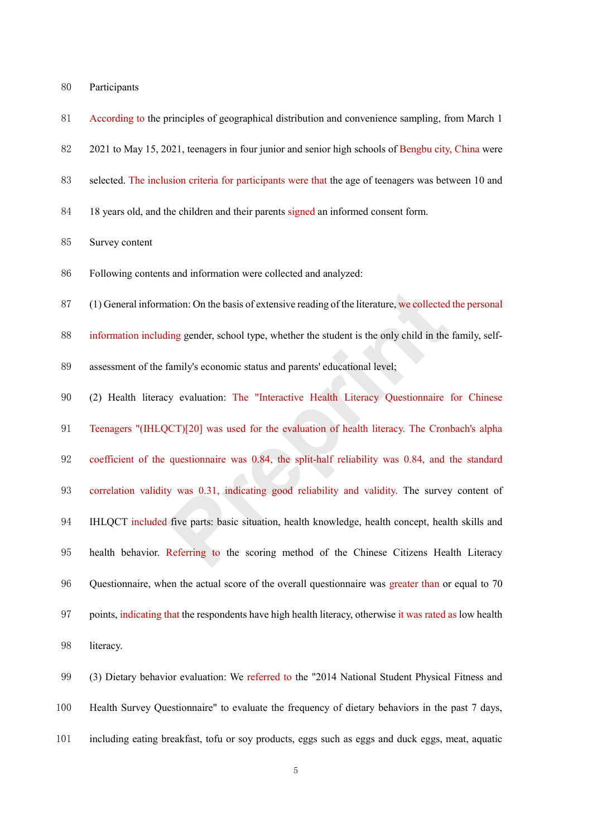| 80 | Participants |
|----|--------------|
|    |              |

- According to the principles of geographical distribution and convenience sampling, from March 1
- 2021 to May 15, 2021, teenagers in four junior and senior high schools of Bengbu city, China were
- selected. The inclusion criteria for participants were that the age of teenagers was between 10 and
- 84 18 years old, and the children and their parents signed an informed consent form.

## Survey content

- Following contents and information were collected and analyzed:
- (1) General information: On the basis of extensive reading of the literature, we collected the personal
- information including gender, school type, whether the student is the only child in the family, self-
- assessment of the family's economic status and parents' educational level;
- (2) Health literacy evaluation: The "Interactive Health Literacy Questionnaire for Chinese Teenagers "(IHLQCT)[20] was used for the evaluation of health literacy. The Cronbach's alpha coefficient of the questionnaire was 0.84, the split-half reliability was 0.84, and the standard correlation validity was 0.31, indicating good reliability and validity. The survey content of IHLQCT included five parts: basic situation, health knowledge, health concept, health skills and health behavior. Referring to the scoring method of the Chinese Citizens Health Literacy Questionnaire, when the actual score of the overall questionnaire was greater than or equal to 70 points, indicating that the respondents have high health literacy, otherwise it was rated as low health literacy. ation: On the basis of extensive reading of the literature, we collected<br>ling gender, school type, whether the student is the only child in the<br>family's economic status and parents' educational level;<br>y evaluation: The "In
- 99 (3) Dietary behavior evaluation: We referred to the "2014 National Student Physical Fitness and Health Survey Questionnaire" to evaluate the frequency of dietary behaviors in the past 7 days, including eating breakfast, tofu or soy products, eggs such as eggs and duck eggs, meat, aquatic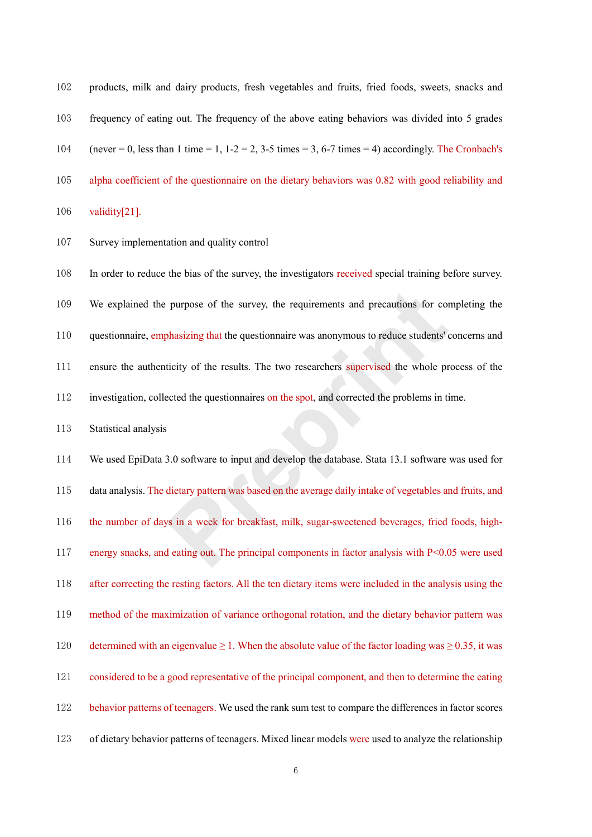| 102 | products, milk and dairy products, fresh vegetables and fruits, fried foods, sweets, snacks and      |
|-----|------------------------------------------------------------------------------------------------------|
| 103 | frequency of eating out. The frequency of the above eating behaviors was divided into 5 grades       |
| 104 | (never = 0, less than 1 time = 1, 1-2 = 2, 3-5 times = 3, 6-7 times = 4) accordingly. The Cronbach's |
| 105 | alpha coefficient of the questionnaire on the dietary behaviors was 0.82 with good reliability and   |
|     |                                                                                                      |

validity[21].

Survey implementation and quality control

In order to reduce the bias of the survey, the investigators received special training before survey.

- We explained the purpose of the survey, the requirements and precautions for completing the
- questionnaire, emphasizing that the questionnaire was anonymous to reduce students' concerns and
- ensure the authenticity of the results. The two researchers supervised the whole process of the
- investigation, collected the questionnaires on the spot, and corrected the problems in time.

Statistical analysis

 We used EpiData 3.0 software to input and develop the database. Stata 13.1 software was used for data analysis. The dietary pattern was based on the average daily intake of vegetables and fruits, and the number of days in a week for breakfast, milk, sugar-sweetened beverages, fried foods, high- energy snacks, and eating out. The principal components in factor analysis with P<0.05 were used after correcting the resting factors. All the ten dietary items were included in the analysis using the method of the maximization of variance orthogonal rotation, and the dietary behavior pattern was 120 determined with an eigenvalue  $\geq 1$ . When the absolute value of the factor loading was  $\geq 0.35$ , it was considered to be a good representative of the principal component, and then to determine the eating 122 behavior patterns of teenagers. We used the rank sum test to compare the differences in factor scores of dietary behavior patterns of teenagers. Mixed linear models were used to analyze the relationship purpose of the survey, the requirements and precautions for complements and precautions for complements the questionnaire was anonymous to reduce students' dicity of the results. The two researchers supervised the whole pr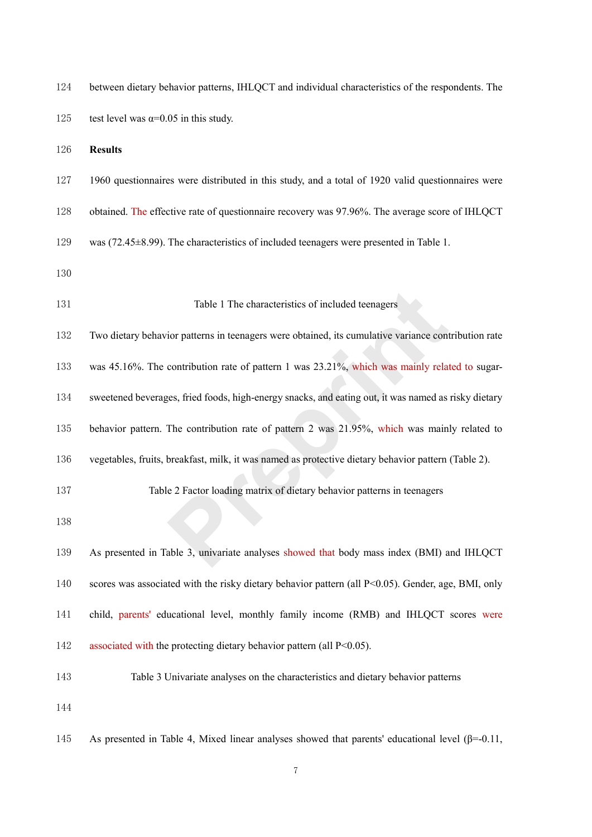| 124 | between dietary behavior patterns, IHLQCT and individual characteristics of the respondents. The         |
|-----|----------------------------------------------------------------------------------------------------------|
| 125 | test level was $\alpha$ =0.05 in this study.                                                             |
| 126 | <b>Results</b>                                                                                           |
| 127 | 1960 questionnaires were distributed in this study, and a total of 1920 valid questionnaires were        |
| 128 | obtained. The effective rate of questionnaire recovery was 97.96%. The average score of IHLQCT           |
| 129 | was $(72.45\pm8.99)$ . The characteristics of included teenagers were presented in Table 1.              |
| 130 |                                                                                                          |
| 131 | Table 1 The characteristics of included teenagers                                                        |
| 132 | Two dietary behavior patterns in teenagers were obtained, its cumulative variance contribution rate      |
| 133 | was 45.16%. The contribution rate of pattern 1 was $23.21\%$ , which was mainly related to sugar-        |
| 134 | sweetened beverages, fried foods, high-energy snacks, and eating out, it was named as risky dietary      |
| 135 | behavior pattern. The contribution rate of pattern 2 was 21.95%, which was mainly related to             |
| 136 | vegetables, fruits, breakfast, milk, it was named as protective dietary behavior pattern (Table 2).      |
| 137 | Table 2 Factor loading matrix of dietary behavior patterns in teenagers                                  |
| 138 |                                                                                                          |
| 139 | As presented in Table 3, univariate analyses showed that body mass index (BMI) and IHLQCT                |
| 140 | scores was associated with the risky dietary behavior pattern (all P<0.05). Gender, age, BMI, only       |
| 141 | child, parents' educational level, monthly family income (RMB) and IHLQCT scores were                    |
| 142 | associated with the protecting dietary behavior pattern (all $P<0.05$ ).                                 |
| 143 | Table 3 Univariate analyses on the characteristics and dietary behavior patterns                         |
| 144 |                                                                                                          |
| 145 | As presented in Table 4, Mixed linear analyses showed that parents' educational level $(\beta = 0.11)$ , |

7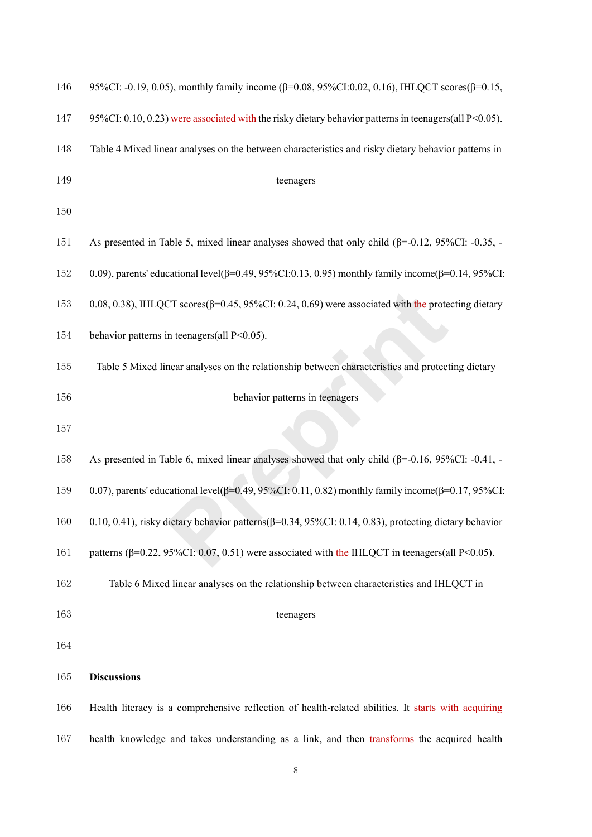| 146 | 95%CI: -0.19, 0.05), monthly family income ( $\beta$ =0.08, 95%CI:0.02, 0.16), IHLQCT scores( $\beta$ =0.15,      |
|-----|-------------------------------------------------------------------------------------------------------------------|
| 147 | 95%CI: 0.10, 0.23) were associated with the risky dietary behavior patterns in teenagers(all P<0.05).             |
| 148 | Table 4 Mixed linear analyses on the between characteristics and risky dietary behavior patterns in               |
| 149 | teenagers                                                                                                         |
| 150 |                                                                                                                   |
| 151 | As presented in Table 5, mixed linear analyses showed that only child $(\beta=0.12, 95\%CI: -0.35, -0.35)$        |
| 152 | 0.09), parents' educational level( $\beta$ =0.49, 95%CI:0.13, 0.95) monthly family income( $\beta$ =0.14, 95%CI:  |
| 153 | 0.08, 0.38), IHLQCT scores $(\beta=0.45, 95\%$ CI: 0.24, 0.69) were associated with the protecting dietary        |
| 154 | behavior patterns in teenagers(all P<0.05).                                                                       |
| 155 | Table 5 Mixed linear analyses on the relationship between characteristics and protecting dietary                  |
| 156 | behavior patterns in teenagers                                                                                    |
| 157 |                                                                                                                   |
| 158 | As presented in Table 6, mixed linear analyses showed that only child ( $\beta$ =-0.16, 95%CI: -0.41, -           |
| 159 | 0.07), parents' educational level( $\beta$ =0.49, 95%CI: 0.11, 0.82) monthly family income( $\beta$ =0.17, 95%CI: |
| 160 | 0.10, 0.41), risky dietary behavior patterns( $\beta$ =0.34, 95%CI: 0.14, 0.83), protecting dietary behavior      |
| 161 | patterns ( $\beta$ =0.22, 95%CI: 0.07, 0.51) were associated with the IHLQCT in teenagers (all P<0.05).           |
| 162 | Table 6 Mixed linear analyses on the relationship between characteristics and IHLQCT in                           |
| 163 | teenagers                                                                                                         |
| 164 |                                                                                                                   |
| 165 | <b>Discussions</b>                                                                                                |
| 166 | Health literacy is a comprehensive reflection of health-related abilities. It starts with acquiring               |
| 167 | health knowledge and takes understanding as a link, and then transforms the acquired health                       |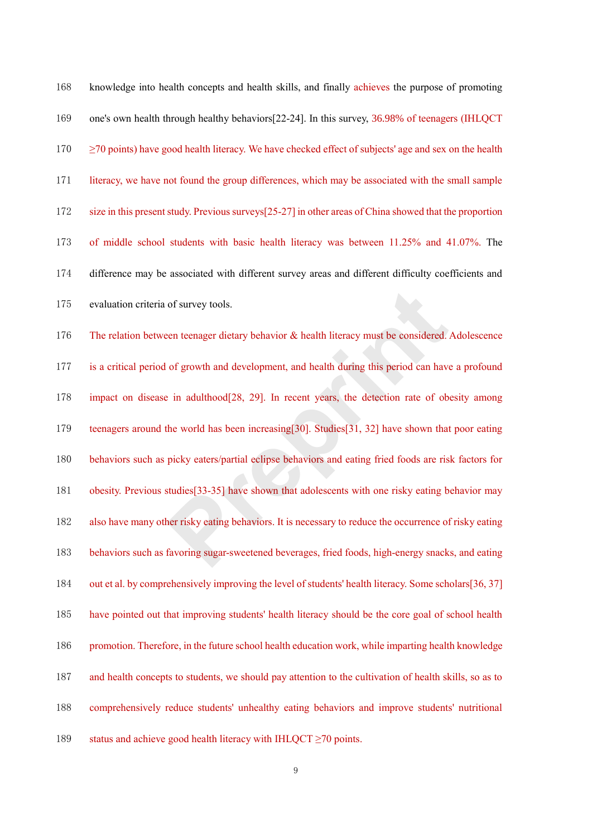knowledge into health concepts and health skills, and finally achieves the purpose of promoting one's own health through healthy behaviors[22-24]. In this survey, 36.98% of teenagers (IHLQCT  $170 \geq 70$  points) have good health literacy. We have checked effect of subjects' age and sex on the health literacy, we have not found the group differences, which may be associated with the small sample size in this present study. Previous surveys[25-27] in other areas of China showed that the proportion of middle school students with basic health literacy was between 11.25% and 41.07%. The difference may be associated with different survey areas and different difficulty coefficients and evaluation criteria of survey tools. The relation between teenager dietary behavior & health literacy must be considered. Adolescence is a critical period of growth and development, and health during this period can have a profound impact on disease in adulthood[28, 29]. In recent years, the detection rate of obesity among 179 teenagers around the world has been increasing[30]. Studies[31, 32] have shown that poor eating behaviors such as picky eaters/partial eclipse behaviors and eating fried foods are risk factors for obesity. Previous studies[33-35] have shown that adolescents with one risky eating behavior may also have many other risky eating behaviors. It is necessary to reduce the occurrence of risky eating behaviors such as favoring sugar-sweetened beverages, fried foods, high-energy snacks, and eating out et al. by comprehensively improving the level of students' health literacy. Some scholars[36, 37] have pointed out that improving students' health literacy should be the core goal of school health promotion. Therefore, in the future school health education work, while imparting health knowledge and health concepts to students, we should pay attention to the cultivation of health skills, so as to comprehensively reduce students' unhealthy eating behaviors and improve students' nutritional 189 status and achieve good health literacy with IHLQCT  $\geq$ 70 points. of survey tools.<br>
een teenager dietary behavior & health literacy must be considered.<br>
of growth and development, and health during this period can have<br>  $P$ : in adulthood[28, 29]. In recent years, the detection rate of ob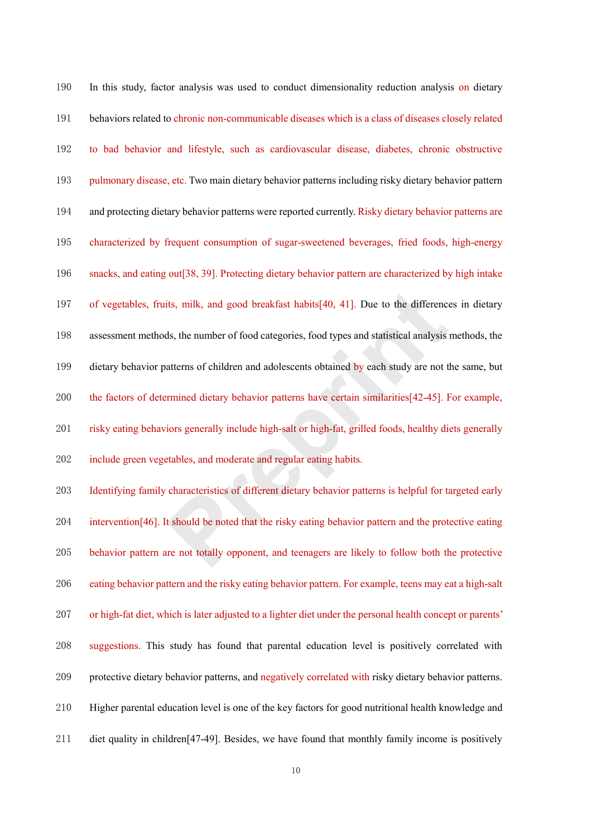| 190 | In this study, factor analysis was used to conduct dimensionality reduction analysis on dietary               |
|-----|---------------------------------------------------------------------------------------------------------------|
| 191 | behaviors related to chronic non-communicable diseases which is a class of diseases closely related           |
| 192 | to bad behavior and lifestyle, such as cardiovascular disease, diabetes, chronic obstructive                  |
| 193 | pulmonary disease, etc. Two main dietary behavior patterns including risky dietary behavior pattern           |
| 194 | and protecting dietary behavior patterns were reported currently. Risky dietary behavior patterns are         |
| 195 | characterized by frequent consumption of sugar-sweetened beverages, fried foods, high-energy                  |
| 196 | snacks, and eating out [38, 39]. Protecting dietary behavior pattern are characterized by high intake         |
| 197 | of vegetables, fruits, milk, and good breakfast habits [40, 41]. Due to the differences in dietary            |
| 198 | assessment methods, the number of food categories, food types and statistical analysis methods, the           |
| 199 | dietary behavior patterns of children and adolescents obtained by each study are not the same, but            |
| 200 | the factors of determined dietary behavior patterns have certain similarities[42-45]. For example,            |
| 201 | risky eating behaviors generally include high-salt or high-fat, grilled foods, healthy diets generally        |
| 202 | include green vegetables, and moderate and regular eating habits.                                             |
| 203 | Identifying family characteristics of different dietary behavior patterns is helpful for targeted early       |
| 204 | intervention [46]. It should be noted that the risky eating behavior pattern and the protective eating        |
| 205 | behavior pattern are not totally opponent, and teenagers are likely to follow both the protective             |
| 206 | eating behavior pattern and the risky eating behavior pattern. For example, teens may eat a high-salt         |
| 207 | or high-fat diet, which is later adjusted to a lighter diet under the personal health concept or parents'     |
| 208 | suggestions. This study has found that parental education level is positively correlated with                 |
| 209 | protective dietary behavior patterns, and negatively correlated with risky dietary behavior patterns.         |
| 210 | Higher parental education level is one of the key factors for good nutritional health knowledge and           |
| 211 | diet quality in children <sup>[47-49]</sup> . Besides, we have found that monthly family income is positively |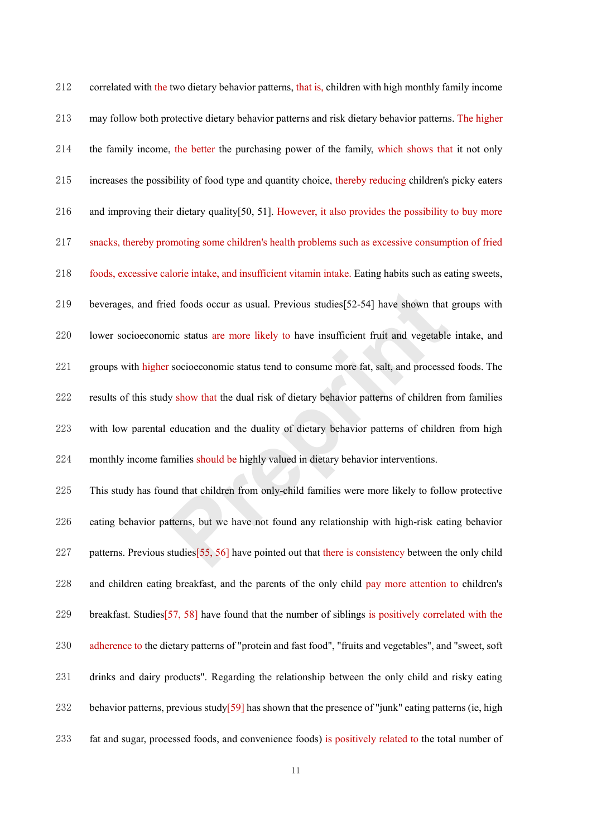| 212 | correlated with the two dietary behavior patterns, that is, children with high monthly family income     |
|-----|----------------------------------------------------------------------------------------------------------|
| 213 | may follow both protective dietary behavior patterns and risk dietary behavior patterns. The higher      |
| 214 | the family income, the better the purchasing power of the family, which shows that it not only           |
| 215 | increases the possibility of food type and quantity choice, thereby reducing children's picky eaters     |
| 216 | and improving their dietary quality [50, 51]. However, it also provides the possibility to buy more      |
| 217 | snacks, thereby promoting some children's health problems such as excessive consumption of fried         |
| 218 | foods, excessive calorie intake, and insufficient vitamin intake. Eating habits such as eating sweets,   |
| 219 | beverages, and fried foods occur as usual. Previous studies [52-54] have shown that groups with          |
| 220 | lower socioeconomic status are more likely to have insufficient fruit and vegetable intake, and          |
| 221 | groups with higher socioeconomic status tend to consume more fat, salt, and processed foods. The         |
| 222 | results of this study show that the dual risk of dietary behavior patterns of children from families     |
| 223 | with low parental education and the duality of dietary behavior patterns of children from high           |
| 224 | monthly income families should be highly valued in dietary behavior interventions.                       |
| 225 | This study has found that children from only-child families were more likely to follow protective        |
| 226 | eating behavior patterns, but we have not found any relationship with high-risk eating behavior          |
| 227 | patterns. Previous studies [55, 56] have pointed out that there is consistency between the only child    |
| 228 | and children eating breakfast, and the parents of the only child pay more attention to children's        |
| 229 | breakfast. Studies [57, 58] have found that the number of siblings is positively correlated with the     |
| 230 | adherence to the dietary patterns of "protein and fast food", "fruits and vegetables", and "sweet, soft  |
| 231 | drinks and dairy products". Regarding the relationship between the only child and risky eating           |
| 232 | behavior patterns, previous study $[59]$ has shown that the presence of "junk" eating patterns (ie, high |
| 233 | fat and sugar, processed foods, and convenience foods) is positively related to the total number of      |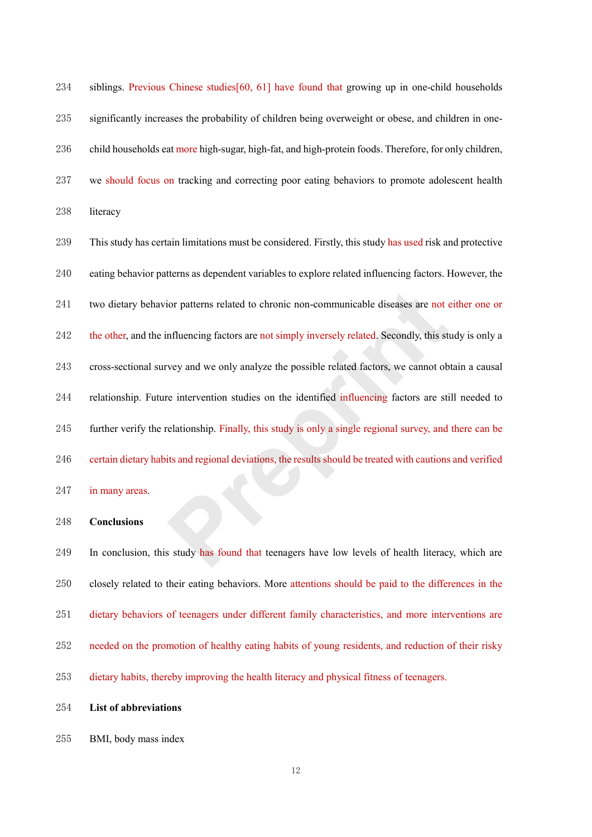siblings. Previous Chinese studies[60, 61] have found that growing up in one-child households significantly increases the probability of children being overweight or obese, and children in one-236 child households eat more high-sugar, high-fat, and high-protein foods. Therefore, for only children, we should focus on tracking and correcting poor eating behaviors to promote adolescent health literacy

 This study has certain limitations must be considered. Firstly, this study has used risk and protective eating behavior patterns as dependent variables to explore related influencing factors. However, the two dietary behavior patterns related to chronic non-communicable diseases are not either one or 242 the other, and the influencing factors are not simply inversely related. Secondly, this study is only a cross-sectional survey and we only analyze the possible related factors, we cannot obtain a causal relationship. Future intervention studies on the identified influencing factors are still needed to further verify the relationship. Finally, this study is only a single regional survey, and there can be certain dietary habits and regional deviations, the results should be treated with cautions and verified 247 in many areas. ior patterns related to chronic non-communicable diseases are not of<br>influencing factors are not simply inversely related. Secondly, this st<br>vey and we only analyze the possible related factors, we cannot obe<br>intervention

#### **Conclusions**

249 In conclusion, this study has found that teenagers have low levels of health literacy, which are closely related to their eating behaviors. More attentions should be paid to the differences in the dietary behaviors of teenagers under different family characteristics, and more interventions are needed on the promotion of healthy eating habits of young residents, and reduction of their risky dietary habits, thereby improving the health literacy and physical fitness of teenagers.

- **List of abbreviations**
- BMI, body mass index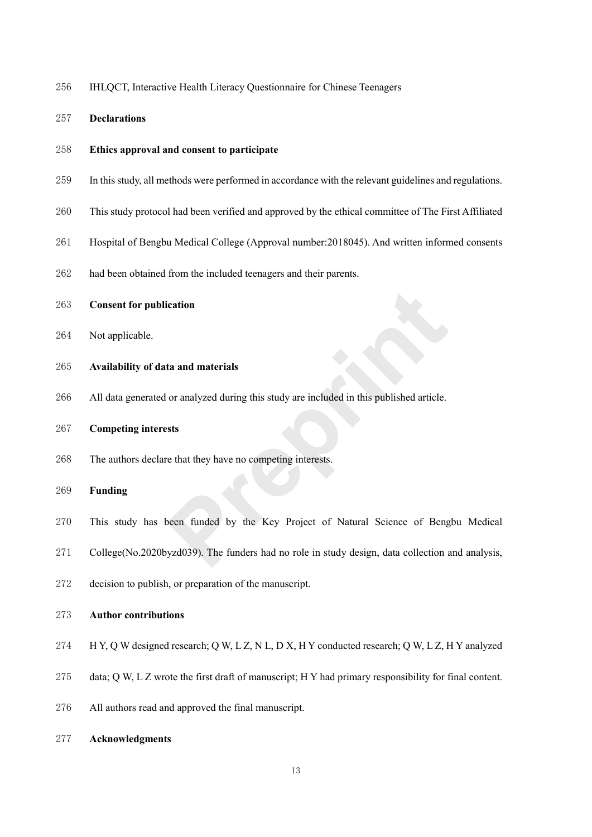- IHLQCT, Interactive Health Literacy Questionnaire for Chinese Teenagers
- **Declarations**
- **Ethics approval and consent to participate**
- In this study, all methods were performed in accordance with the relevant guidelines and regulations.
- This study protocol had been verified and approved by the ethical committee of The First Affiliated
- Hospital of Bengbu Medical College (Approval number:2018045). And written informed consents
- had been obtained from the included teenagers and their parents.
- **Consent for publication**
- Not applicable.
- **Availability of data and materials**
- All data generated or analyzed during this study are included in this published article.
- **Competing interests**
- The authors declare that they have no competing interests.
- **Funding**
- This study has been funded by the Key Project of Natural Science of Bengbu Medical Frequency and materials<br>or analyzed during this study are included in this published article.<br>
Sts<br>
Prepriet of Matural Science of Beng<br>
Prepriet of Matural Science of Beng<br>
Prepriet of Matural Science of Beng<br>
Prepriet of
- College(No.2020byzd039). The funders had no role in study design, data collection and analysis,
- decision to publish, or preparation of the manuscript.

# **Author contributions**

- 274 H Y, Q W designed research; Q W, L Z, N L, D X, H Y conducted research; Q W, L Z, H Y analyzed
- 275 data; Q W, L Z wrote the first draft of manuscript; H Y had primary responsibility for final content.
- All authors read and approved the final manuscript.
- **Acknowledgments**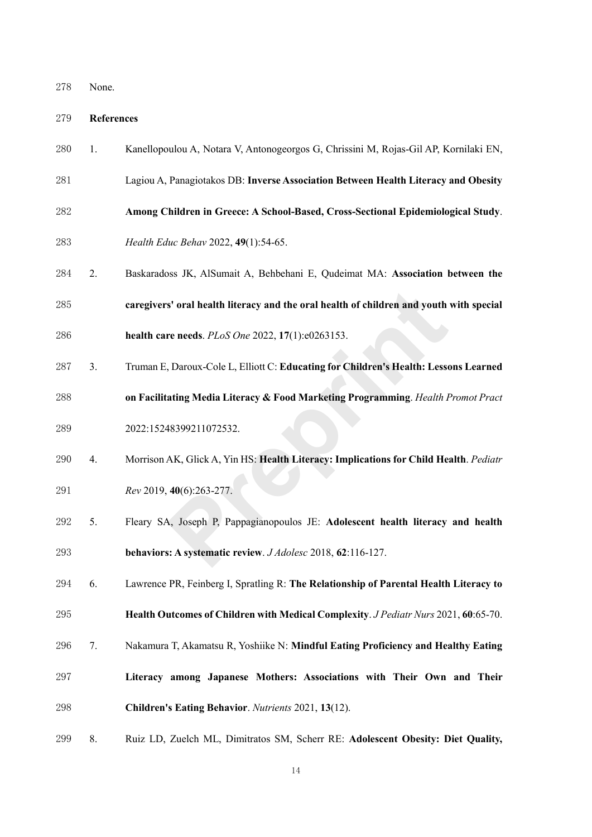#### **References**

- 1. Kanellopoulou A, Notara V, Antonogeorgos G, Chrissini M, Rojas-Gil AP, Kornilaki EN,
- Lagiou A, Panagiotakos DB: **Inverse Association Between Health Literacy and Obesity**
- **Among Children in Greece: A School-Based, Cross-Sectional Epidemiological Study**.
- *Health Educ Behav* 2022, **49**(1):54-65.
- 2. Baskaradoss JK, AlSumait A, Behbehani E, Qudeimat MA: **Association between the caregivers' oral health literacy and the oral health of children and youth with special**
- **health care needs**. *PLoS One* 2022, **17**(1):e0263153.
- 3. Truman E, Daroux-Cole L, Elliott C: **Educating for Children's Health: Lessons Learned on Facilitating Media Literacy & Food Marketing Programming**. *Health Promot Pract*  s' oral health literacy and the oral health of children and youth<br>re needs. *PLoS One* 2022, 17(1):e0263153.<br>, Daroux-Cole L, Elliott C: Educating for Children's Health: Lesse<br>ating Media Literacy & Food Marketing Programm
- 2022:15248399211072532.
- 4. Morrison AK, Glick A, Yin HS: **Health Literacy: Implications for Child Health**. *Pediatr Rev* 2019, **40**(6):263-277.
- 
- 5. Fleary SA, Joseph P, Pappagianopoulos JE: **Adolescent health literacy and health behaviors: A systematic review**. *J Adolesc* 2018, **62**:116-127.
- 6. Lawrence PR, Feinberg I, Spratling R: **The Relationship of Parental Health Literacy to**
- **Health Outcomes of Children with Medical Complexity**. *J Pediatr Nurs* 2021, **60**:65-70.
- 7. Nakamura T, Akamatsu R, Yoshiike N: **Mindful Eating Proficiency and Healthy Eating**
- **Literacy among Japanese Mothers: Associations with Their Own and Their Children's Eating Behavior**. *Nutrients* 2021, **13**(12).
- 8. Ruiz LD, Zuelch ML, Dimitratos SM, Scherr RE: **Adolescent Obesity: Diet Quality,**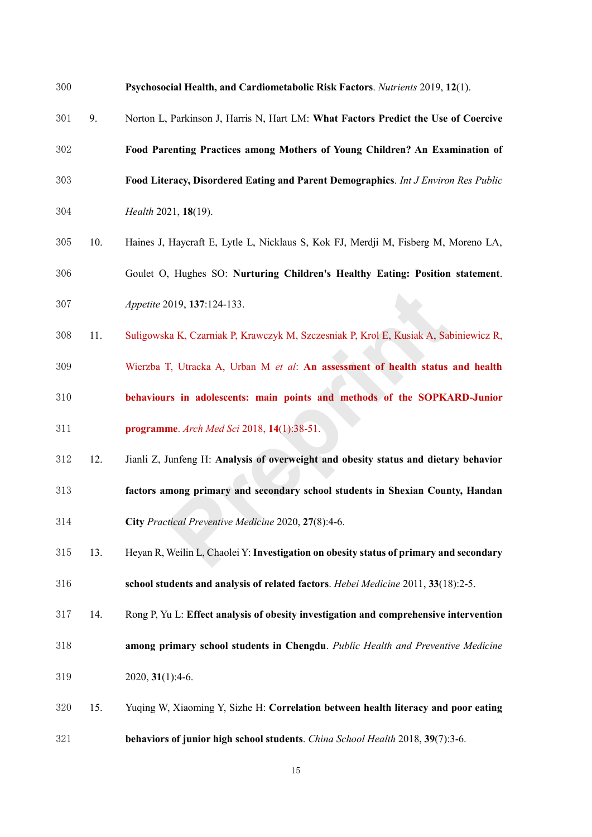- **Psychosocial Health, and Cardiometabolic Risk Factors**. *Nutrients* 2019, **12**(1).
- 9. Norton L, Parkinson J, Harris N, Hart LM: **What Factors Predict the Use of Coercive**
- **Food Parenting Practices among Mothers of Young Children? An Examination of**
- **Food Literacy, Disordered Eating and Parent Demographics**. *Int J Environ Res Public*
- *Health* 2021, **18**(19).
- 10. Haines J, Haycraft E, Lytle L, Nicklaus S, Kok FJ, Merdji M, Fisberg M, Moreno LA, Goulet O, Hughes SO: **Nurturing Children's Healthy Eating: Position statement**.
- *Appetite* 2019, **137**:124-133.
- 11. Suligowska K, Czarniak P, Krawczyk M, Szczesniak P, Krol E, Kusiak A, Sabiniewicz R,
- Wierzba T, Utracka A, Urban M *et al*: **An assessment of health status and health behaviours in adolescents: main points and methods of the SOPKARD-Junior programme**. *Arch Med Sci* 2018, **14**(1):38-51. 1019, 137:124-133.<br>
ERREG. 137:124-133.<br>
ERREG. 137:124-133.<br>
ERREG. 137:124-133.<br> **PREG. 138:128.**<br> **PREG. 14:12.**<br> **PREG. 14:12.**<br> **PREG. 14:12.38-51.**<br> **PREG. 14:13.38-51.**<br> **PREG. 14:13.38-51.**<br> **PREG. 14:13.38-51.**<br>
- 12. Jianli Z, Junfeng H: **Analysis of overweight and obesity status and dietary behavior**
- **factors among primary and secondary school students in Shexian County, Handan**
- **City** *Practical Preventive Medicine* 2020, **27**(8):4-6.
- 13. Heyan R, Weilin L, Chaolei Y: **Investigation on obesity status of primary and secondary school students and analysis of related factors**. *Hebei Medicine* 2011, **33**(18):2-5.
- 14. Rong P, Yu L: **Effect analysis of obesity investigation and comprehensive intervention**
- **among primary school students in Chengdu**. *Public Health and Preventive Medicine*  2020, **31**(1):4-6.
- 15. Yuqing W, Xiaoming Y, Sizhe H: **Correlation between health literacy and poor eating behaviors of junior high school students**. *China School Health* 2018, **39**(7):3-6.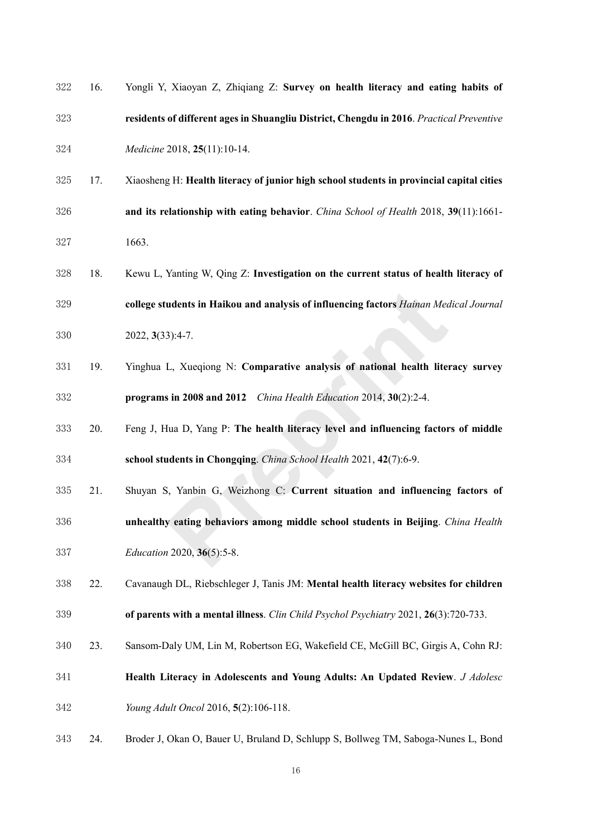| 322 | 16. | Yongli Y, Xiaoyan Z, Zhiqiang Z: Survey on health literacy and eating habits of          |
|-----|-----|------------------------------------------------------------------------------------------|
| 323 |     | residents of different ages in Shuangliu District, Chengdu in 2016. Practical Preventive |
| 324 |     | Medicine 2018, 25(11):10-14.                                                             |
| 325 | 17. | Xiaosheng H: Health literacy of junior high school students in provincial capital cities |
| 326 |     | and its relationship with eating behavior. China School of Health 2018, 39(11):1661-     |
| 327 |     | 1663.                                                                                    |
| 328 | 18. | Kewu L, Yanting W, Qing Z: Investigation on the current status of health literacy of     |
| 329 |     | college students in Haikou and analysis of influencing factors Hainan Medical Journal    |
| 330 |     | 2022, 3(33):4-7.                                                                         |
| 331 | 19. | Yinghua L, Xueqiong N: Comparative analysis of national health literacy survey           |
| 332 |     | programs in 2008 and 2012 China Health Education 2014, 30(2):2-4.                        |
| 333 | 20. | Feng J, Hua D, Yang P: The health literacy level and influencing factors of middle       |
| 334 |     | school students in Chongqing. China School Health 2021, 42(7):6-9.                       |
| 335 | 21. | Shuyan S, Yanbin G, Weizhong C: Current situation and influencing factors of             |
| 336 |     | unhealthy eating behaviors among middle school students in Beijing. China Health         |
| 337 |     | <i>Education 2020</i> , 36(5):5-8.                                                       |
| 338 | 22. | Cavanaugh DL, Riebschleger J, Tanis JM: Mental health literacy websites for children     |
| 339 |     | of parents with a mental illness. Clin Child Psychol Psychiatry 2021, 26(3):720-733.     |
| 340 | 23. | Sansom-Daly UM, Lin M, Robertson EG, Wakefield CE, McGill BC, Girgis A, Cohn RJ:         |
| 341 |     | Health Literacy in Adolescents and Young Adults: An Updated Review. J Adolesc            |
| 342 |     | Young Adult Oncol 2016, 5(2):106-118.                                                    |
| 343 | 24. | Broder J, Okan O, Bauer U, Bruland D, Schlupp S, Bollweg TM, Saboga-Nunes L, Bond        |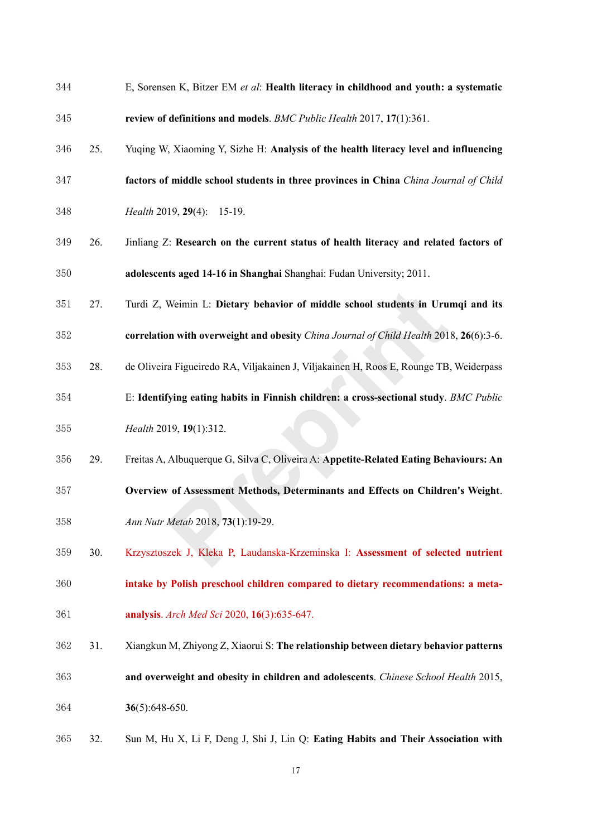- E, Sorensen K, Bitzer EM *et al*: **Health literacy in childhood and youth: a systematic review of definitions and models**. *BMC Public Health* 2017, **17**(1):361.
- 25. Yuqing W, Xiaoming Y, Sizhe H: **Analysis of the health literacy level and influencing**
- **factors of middle school students in three provinces in China** *China Journal of Child*
- *Health* 2019, **29**(4): 15-19.
- 26. Jinliang Z: **Research on the current status of health literacy and related factors of adolescents aged 14-16 in Shanghai** Shanghai: Fudan University; 2011.
- 27. Turdi Z, Weimin L: **Dietary behavior of middle school students in Urumqi and its**
- **correlation with overweight and obesity** *China Journal of Child Health* 2018, **26**(6):3-6.
- 28. de Oliveira Figueiredo RA, Viljakainen J, Viljakainen H, Roos E, Rounge TB, Weiderpass
- E: **Identifying eating habits in Finnish children: a cross-sectional study**. *BMC Public Health* 2019, **19**(1):312. Weimin L: Dietary behavior of middle school students in Uru<br>
on with overweight and obesity *China Journal of Child Health* 201<br>
a Figueiredo RA, Viljakainen J, Viljakainen H, Roos E, Rounge TB<br>
fying eating habits in Finn
- 29. Freitas A, Albuquerque G, Silva C, Oliveira A: **Appetite-Related Eating Behaviours: An Overview of Assessment Methods, Determinants and Effects on Children's Weight**.
- *Ann Nutr Metab* 2018, **73**(1):19-29.
- 30. Krzysztoszek J, Kleka P, Laudanska-Krzeminska I: **Assessment of selected nutrient**
- **intake by Polish preschool children compared to dietary recommendations: a meta-**
- **analysis**. *Arch Med Sci* 2020, **16**(3):635-647.
- 31. Xiangkun M, Zhiyong Z, Xiaorui S: **The relationship between dietary behavior patterns and overweight and obesity in children and adolescents**. *Chinese School Health* 2015, **36**(5):648-650.
- 32. Sun M, Hu X, Li F, Deng J, Shi J, Lin Q: **Eating Habits and Their Association with**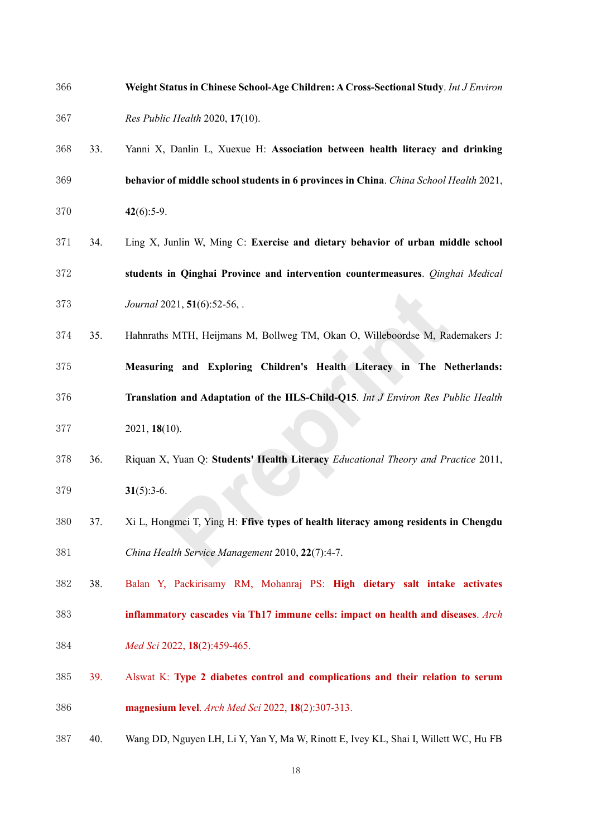- **Weight Status in Chinese School-Age Children: A Cross-Sectional Study**. *Int J Environ Res Public Health* 2020, **17**(10).
- 33. Yanni X, Danlin L, Xuexue H: **Association between health literacy and drinking behavior of middle school students in 6 provinces in China**. *China School Health* 2021, **42**(6):5-9.
- 34. Ling X, Junlin W, Ming C: **Exercise and dietary behavior of urban middle school students in Qinghai Province and intervention countermeasures**. *Qinghai Medical Journal* 2021, **51**(6):52-56, .
- 35. Hahnraths MTH, Heijmans M, Bollweg TM, Okan O, Willeboordse M, Rademakers J: **Measuring and Exploring Children's Health Literacy in The Netherlands: Translation and Adaptation of the HLS-Child-Q15**. *Int J Environ Res Public Health*  021, **51**(6):52-56, .<br>
S MTH, Heijmans M, Bollweg TM, Okan O, Willeboordse M, Rang and Exploring Children's Health Literacy in The N<br> **Preprioring Children's Health Literacy in The N**<br> **Proprioring** Children's Health Liter
- 2021, **18**(10).
- 36. Riquan X, Yuan Q: **Students' Health Literacy** *Educational Theory and Practice* 2011, **31**(5):3-6.
- 37. Xi L, Hongmei T, Ying H: **Ffive types of health literacy among residents in Chengdu**  *China Health Service Management* 2010, **22**(7):4-7.
- 38. Balan Y, Packirisamy RM, Mohanraj PS: **High dietary salt intake activates inflammatory cascades via Th17 immune cells: impact on health and diseases**. *Arch*
- *Med Sci* 2022, **18**(2):459-465.
- 39. Alswat K: **Type 2 diabetes control and complications and their relation to serum magnesium level**. *Arch Med Sci* 2022, **18**(2):307-313.
- 40. Wang DD, Nguyen LH, Li Y, Yan Y, Ma W, Rinott E, Ivey KL, Shai I, Willett WC, Hu FB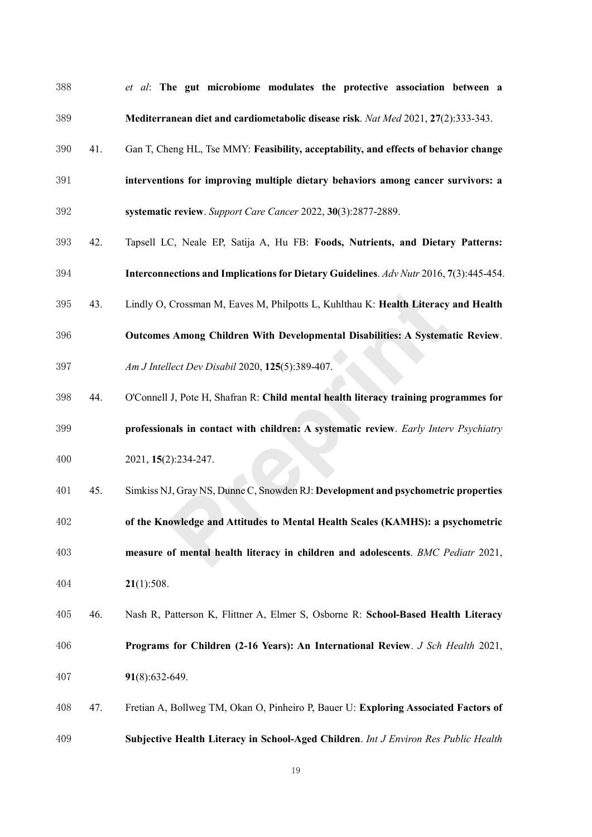*et al*: **The gut microbiome modulates the protective association between a Mediterranean diet and cardiometabolic disease risk**. *Nat Med* 2021, **27**(2):333-343. 41. Gan T, Cheng HL, Tse MMY: **Feasibility, acceptability, and effects of behavior change interventions for improving multiple dietary behaviors among cancer survivors: a systematic review**. *Support Care Cancer* 2022, **30**(3):2877-2889. 42. Tapsell LC, Neale EP, Satija A, Hu FB: **Foods, Nutrients, and Dietary Patterns: Interconnections and Implications for Dietary Guidelines**. *Adv Nutr* 2016, **7**(3):445-454. 43. Lindly O, Crossman M, Eaves M, Philpotts L, Kuhlthau K: **Health Literacy and Health Outcomes Among Children With Developmental Disabilities: A Systematic Review**. *Am J Intellect Dev Disabil* 2020, **125**(5):389-407. 44. O'Connell J, Pote H, Shafran R: **Child mental health literacy training programmes for professionals in contact with children: A systematic review**. *Early Interv Psychiatry*  2021, **15**(2):234-247. 45. Simkiss NJ, Gray NS, Dunne C, Snowden RJ: **Development and psychometric properties of the Knowledge and Attitudes to Mental Health Scales (KAMHS): a psychometric measure of mental health literacy in children and adolescents**. *BMC Pediatr* 2021, **21**(1):508. 46. Nash R, Patterson K, Flittner A, Elmer S, Osborne R: **School-Based Health Literacy Programs for Children (2-16 Years): An International Review**. *J Sch Health* 2021, **91**(8):632-649. 47. Fretian A, Bollweg TM, Okan O, Pinheiro P, Bauer U: **Exploring Associated Factors of Subjective Health Literacy in School-Aged Children**. *Int J Environ Res Public Health*  Crossman M, Eaves M, Philpotts L, Kuhlthau K: **Health Literacy**<br> **8 Among Children With Developmental Disabilities: A System:**<br> *Plect Dev Disabil* 2020, 125(5):389-407.<br> **1J,** Pote H, Shafran R: Child mental health litera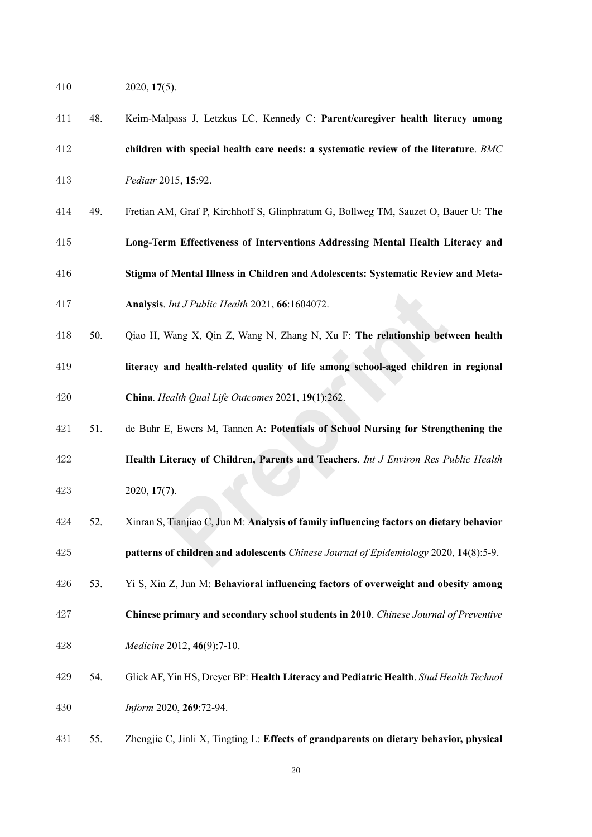- 2020, **17**(5).
- 48. Keim-Malpass J, Letzkus LC, Kennedy C: **Parent/caregiver health literacy among**
- **children with special health care needs: a systematic review of the literature**. *BMC*
- *Pediatr* 2015, **15**:92.
- 49. Fretian AM, Graf P, Kirchhoff S, Glinphratum G, Bollweg TM, Sauzet O, Bauer U: **The**
- **Long-Term Effectiveness of Interventions Addressing Mental Health Literacy and**
- **Stigma of Mental Illness in Children and Adolescents: Systematic Review and Meta-**
- **Analysis**. *Int J Public Health* 2021, **66**:1604072.
- 50. Qiao H, Wang X, Qin Z, Wang N, Zhang N, Xu F: **The relationship between health literacy and health-related quality of life among school-aged children in regional China**. *Health Qual Life Outcomes* 2021, **19**(1):262. *Int J Public Health* 2021, **66**:1604072.<br>
Wang X, Qin Z, Wang N, Zhang N, Xu F: The **relationship bet**<br> **Proprint And health-related quality of life among school-aged children**<br> *Path Qual Life Outcomes* 2021, **19**(1):262
- 51. de Buhr E, Ewers M, Tannen A: **Potentials of School Nursing for Strengthening the Health Literacy of Children, Parents and Teachers**. *Int J Environ Res Public Health*  2020, **17**(7).
- 52. Xinran S, Tianjiao C, Jun M: **Analysis of family influencing factors on dietary behavior**
- **patterns of children and adolescents** *Chinese Journal of Epidemiology* 2020, **14**(8):5-9.
- 53. Yi S, Xin Z, Jun M: **Behavioral influencing factors of overweight and obesity among**
- **Chinese primary and secondary school students in 2010**. *Chinese Journal of Preventive Medicine* 2012, **46**(9):7-10.
- 54. Glick AF, Yin HS, Dreyer BP: **Health Literacy and Pediatric Health**. *Stud Health Technol Inform* 2020, **269**:72-94.
- 55. Zhengjie C, Jinli X, Tingting L: **Effects of grandparents on dietary behavior, physical**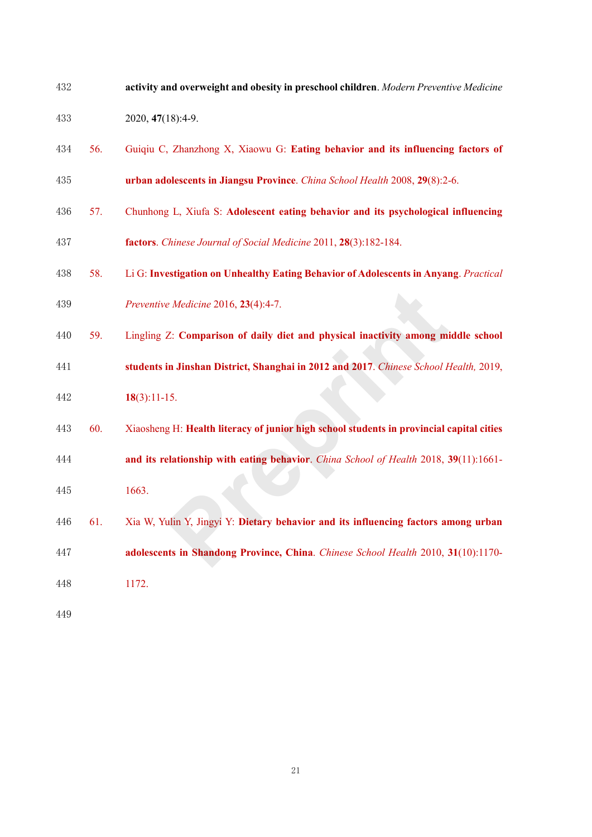| 432 |     | activity and overweight and obesity in preschool children. Modern Preventive Medicine    |
|-----|-----|------------------------------------------------------------------------------------------|
| 433 |     | 2020, 47(18):4-9.                                                                        |
| 434 | 56. | Guiqiu C, Zhanzhong X, Xiaowu G: Eating behavior and its influencing factors of          |
| 435 |     | urban adolescents in Jiangsu Province. China School Health 2008, 29(8):2-6.              |
| 436 | 57. | Chunhong L, Xiufa S: Adolescent eating behavior and its psychological influencing        |
| 437 |     | factors. Chinese Journal of Social Medicine 2011, 28(3):182-184.                         |
| 438 | 58. | Li G: Investigation on Unhealthy Eating Behavior of Adolescents in Anyang. Practical     |
| 439 |     | Preventive Medicine 2016, 23(4):4-7.                                                     |
| 440 | 59. | Lingling Z: Comparison of daily diet and physical inactivity among middle school         |
| 441 |     | students in Jinshan District, Shanghai in 2012 and 2017. Chinese School Health, 2019,    |
| 442 |     | $18(3):11-15.$                                                                           |
| 443 | 60. | Xiaosheng H: Health literacy of junior high school students in provincial capital cities |
| 444 |     | and its relationship with eating behavior. China School of Health 2018, 39(11):1661-     |
| 445 |     | 1663.                                                                                    |
| 446 | 61. | Xia W, Yulin Y, Jingyi Y: Dietary behavior and its influencing factors among urban       |
| 447 |     | adolescents in Shandong Province, China. Chinese School Health 2010, 31(10):1170-        |
| 448 |     | 1172.                                                                                    |
| 449 |     |                                                                                          |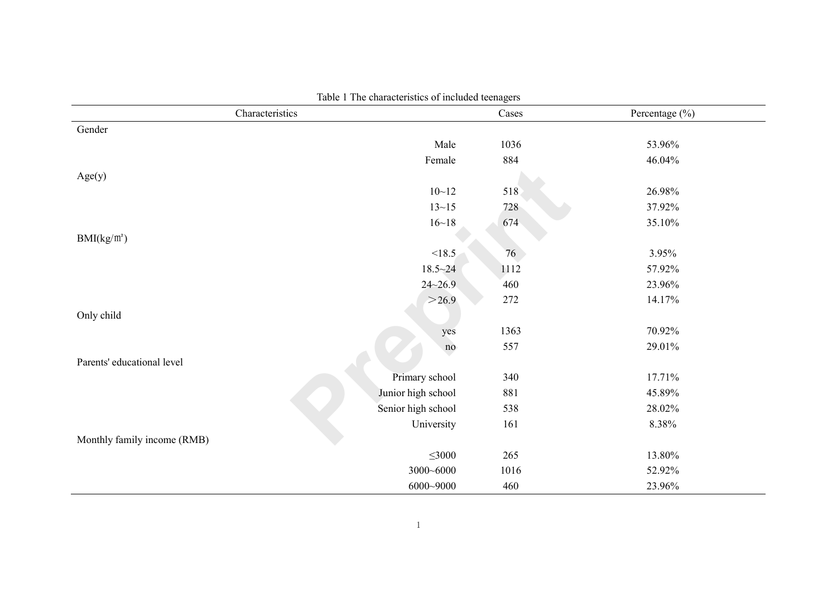| Characteristics             |                    | Cases | Percentage (%) |
|-----------------------------|--------------------|-------|----------------|
| Gender                      |                    |       |                |
|                             | Male               | 1036  | 53.96%         |
|                             | Female             | 884   | 46.04%         |
| Age(y)                      |                    |       |                |
|                             | $10 - 12$          | 518   | 26.98%         |
|                             | $13 - 15$          | 728   | 37.92%         |
|                             | $16 - 18$          | 674   | 35.10%         |
| BMI(kg/m <sup>2</sup> )     |                    |       |                |
|                             | < 18.5             | 76    | 3.95%          |
|                             | $18.5 - 24$        | 1112  | 57.92%         |
|                             | $24 - 26.9$        | 460   | 23.96%         |
|                             | >26.9              | 272   | 14.17%         |
| Only child                  |                    |       |                |
|                             | yes                | 1363  | 70.92%         |
|                             | no                 | 557   | 29.01%         |
| Parents' educational level  |                    |       |                |
|                             | Primary school     | 340   | 17.71%         |
|                             | Junior high school | 881   | 45.89%         |
|                             | Senior high school | 538   | 28.02%         |
|                             | University         | 161   | 8.38%          |
| Monthly family income (RMB) |                    |       |                |
|                             | $\leq 3000$        | 265   | 13.80%         |
|                             | 3000~6000          | 1016  | 52.92%         |
|                             | 6000~9000          | 460   | 23.96%         |

Table 1 The characteristics of included teenagers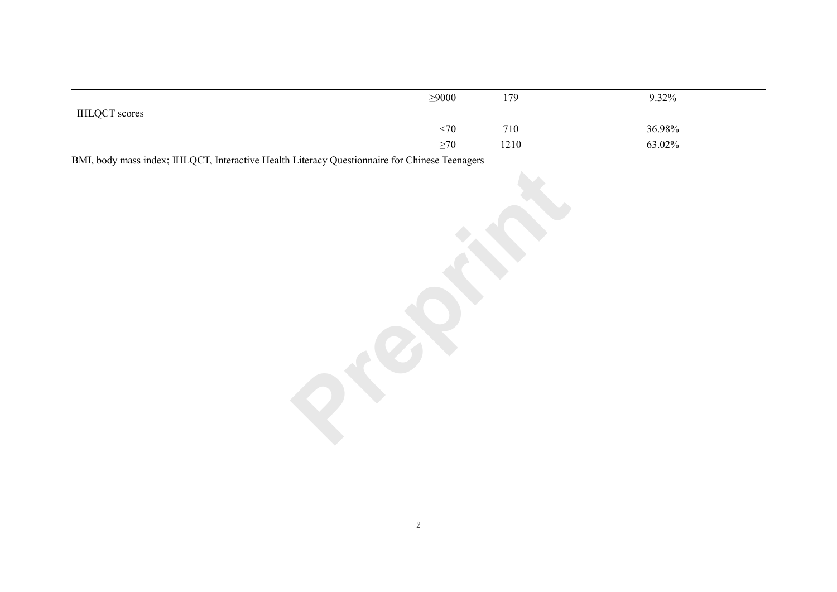|                      | $\geq 9000$ | 179  | 9.32%  |
|----------------------|-------------|------|--------|
| <b>IHLQCT</b> scores | <70         | 710  | 36.98% |
|                      | $\geq 70$   | 1210 | 63.02% |

BMI, body mass index; IHLQCT, Interactive Health Literacy Questionnaire for Chinese Teenagers **Preparament of the preparament of the United States of the Preprinting States and Preprinting States of the Preprint of the Pre**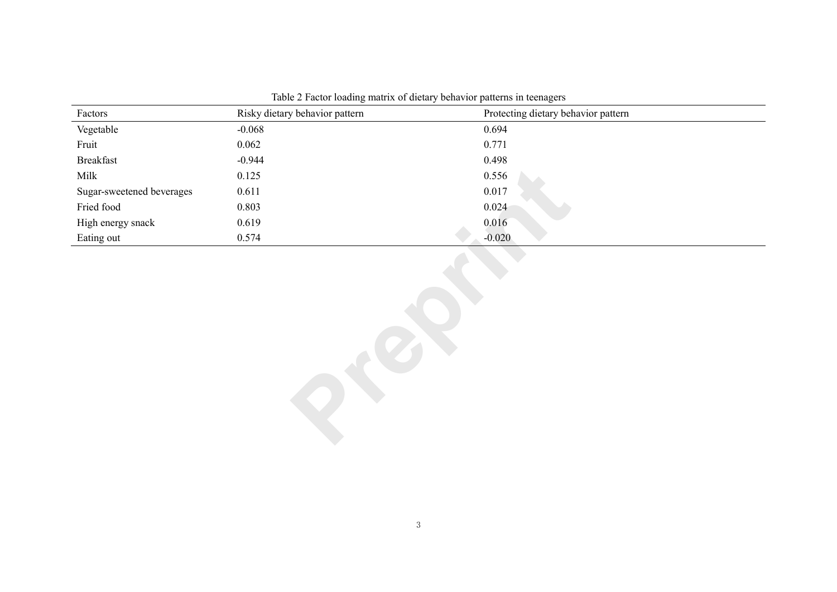| Factors                   | Risky dietary behavior pattern | Protecting dietary behavior pattern |  |  |
|---------------------------|--------------------------------|-------------------------------------|--|--|
| Vegetable                 | $-0.068$                       | 0.694                               |  |  |
| Fruit                     | 0.062                          | 0.771                               |  |  |
| <b>Breakfast</b>          | $-0.944$                       | 0.498                               |  |  |
| Milk                      | 0.125                          | 0.556                               |  |  |
| Sugar-sweetened beverages | 0.611                          | 0.017                               |  |  |
| Fried food                | 0.803                          | 0.024                               |  |  |
| High energy snack         | 0.619                          | 0.016                               |  |  |
| Eating out                | 0.574                          | $-0.020$                            |  |  |
|                           |                                |                                     |  |  |

Table 2 Factor loading matrix of dietary behavior patterns in teenagers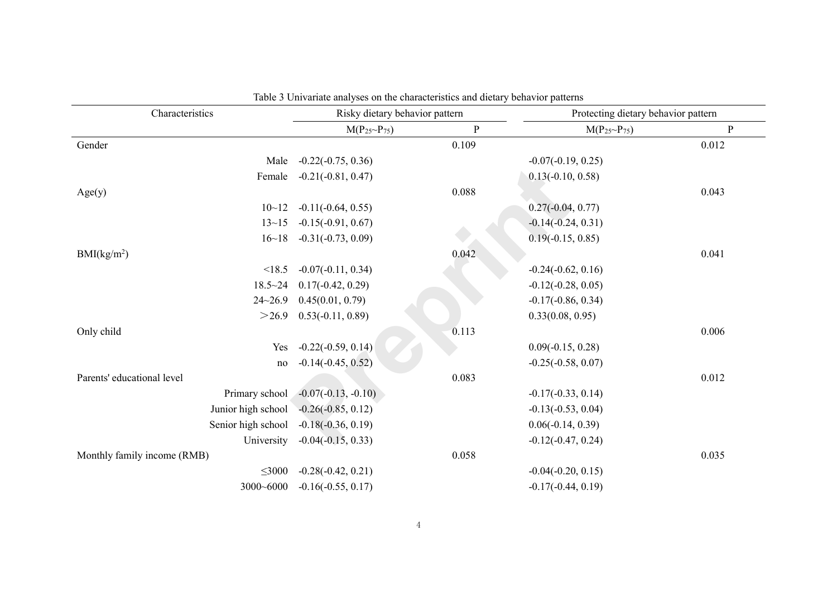| Characteristics             | Risky dietary behavior pattern |           |                         | Protecting dietary behavior pattern |  |
|-----------------------------|--------------------------------|-----------|-------------------------|-------------------------------------|--|
|                             | $M(P_{25}P_{75})$              | ${\bf P}$ | $M(P_{25} \sim P_{75})$ | ${\bf P}$                           |  |
| Gender                      |                                | 0.109     |                         | 0.012                               |  |
| Male                        | $-0.22(-0.75, 0.36)$           |           | $-0.07(-0.19, 0.25)$    |                                     |  |
| Female                      | $-0.21(-0.81, 0.47)$           |           | $0.13(-0.10, 0.58)$     |                                     |  |
| Age(y)                      |                                | 0.088     |                         | 0.043                               |  |
| $10 - 12$                   | $-0.11(-0.64, 0.55)$           |           | $0.27(-0.04, 0.77)$     |                                     |  |
| $13 - 15$                   | $-0.15(-0.91, 0.67)$           |           | $-0.14(-0.24, 0.31)$    |                                     |  |
| 16~18                       | $-0.31(-0.73, 0.09)$           |           | $0.19(-0.15, 0.85)$     |                                     |  |
| BMI(kg/m <sup>2</sup> )     |                                | 0.042     |                         | 0.041                               |  |
| < 18.5                      | $-0.07(-0.11, 0.34)$           |           | $-0.24(-0.62, 0.16)$    |                                     |  |
| $18.5 - 24$                 | $0.17(-0.42, 0.29)$            |           | $-0.12(-0.28, 0.05)$    |                                     |  |
| $24 - 26.9$                 | 0.45(0.01, 0.79)               |           | $-0.17(-0.86, 0.34)$    |                                     |  |
| >26.9                       | $0.53(-0.11, 0.89)$            |           | 0.33(0.08, 0.95)        |                                     |  |
| Only child                  |                                | 0.113     |                         | 0.006                               |  |
| Yes                         | $-0.22(-0.59, 0.14)$           |           | $0.09(-0.15, 0.28)$     |                                     |  |
| no                          | $-0.14(-0.45, 0.52)$           |           | $-0.25(-0.58, 0.07)$    |                                     |  |
| Parents' educational level  |                                | 0.083     |                         | 0.012                               |  |
| Primary school              | $-0.07(-0.13, -0.10)$          |           | $-0.17(-0.33, 0.14)$    |                                     |  |
| Junior high school          | $-0.26(-0.85, 0.12)$           |           | $-0.13(-0.53, 0.04)$    |                                     |  |
| Senior high school          | $-0.18(-0.36, 0.19)$           |           | $0.06(-0.14, 0.39)$     |                                     |  |
| University                  | $-0.04(-0.15, 0.33)$           |           | $-0.12(-0.47, 0.24)$    |                                     |  |
| Monthly family income (RMB) |                                | 0.058     |                         | 0.035                               |  |
| $\leq 3000$                 | $-0.28(-0.42, 0.21)$           |           | $-0.04(-0.20, 0.15)$    |                                     |  |
| 3000~6000                   | $-0.16(-0.55, 0.17)$           |           | $-0.17(-0.44, 0.19)$    |                                     |  |

Table 3 Univariate analyses on the characteristics and dietary behavior patterns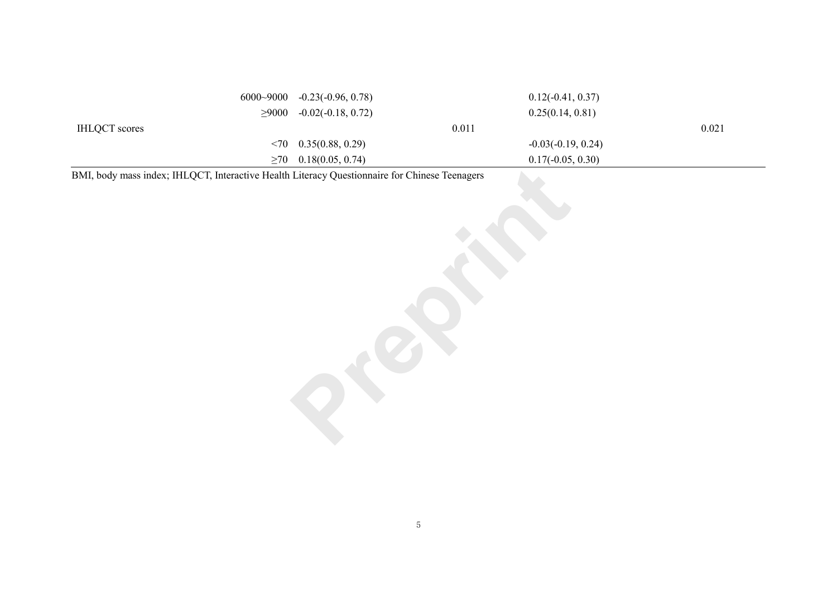|                      |     | $6000~9000$ $-0.23(-0.96, 0.78)$            |       | $0.12(-0.41, 0.37)$  |       |
|----------------------|-----|---------------------------------------------|-------|----------------------|-------|
|                      |     | $\geq 9000$ -0.02(-0.18, 0.72)              |       | 0.25(0.14, 0.81)     |       |
| <b>IHLQCT</b> scores |     |                                             | 0.011 |                      | 0.021 |
|                      |     | $\langle 70 \quad 0.35(0.88, 0.29) \rangle$ |       | $-0.03(-0.19, 0.24)$ |       |
|                      | >70 | 0.18(0.05, 0.74)                            |       | $0.17(-0.05, 0.30)$  |       |

BMI, body mass index; IHLQCT, Interactive Health Literacy Questionnaire for Chinese Teenagers **Preparational Control of the Preprinting Section 2014**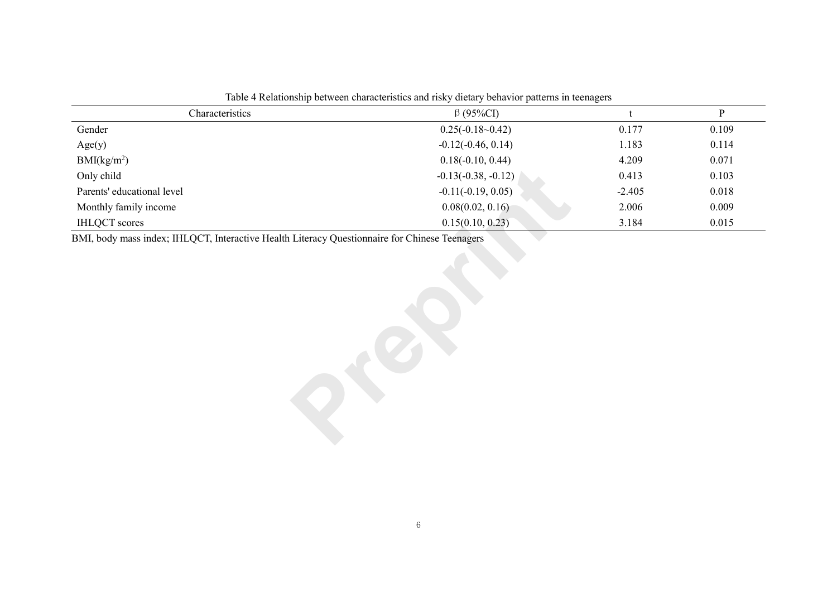| Characteristics                                                                               | $\beta$ (95%CI)       |          | $\mathbf{P}$ |  |  |
|-----------------------------------------------------------------------------------------------|-----------------------|----------|--------------|--|--|
| Gender                                                                                        | $0.25(-0.18-0.42)$    | 0.177    | 0.109        |  |  |
| Age(y)                                                                                        | $-0.12(-0.46, 0.14)$  | 1.183    | 0.114        |  |  |
| BMI(kg/m <sup>2</sup> )                                                                       | $0.18(-0.10, 0.44)$   | 4.209    | 0.071        |  |  |
| Only child                                                                                    | $-0.13(-0.38, -0.12)$ | 0.413    | 0.103        |  |  |
| Parents' educational level                                                                    | $-0.11(-0.19, 0.05)$  | $-2.405$ | 0.018        |  |  |
| Monthly family income                                                                         | 0.08(0.02, 0.16)      | 2.006    | 0.009        |  |  |
| <b>IHLQCT</b> scores                                                                          | 0.15(0.10, 0.23)      | 3.184    | 0.015        |  |  |
| BMI, body mass index; IHLQCT, Interactive Health Literacy Questionnaire for Chinese Teenagers |                       |          |              |  |  |

Table 4 Relationship between characteristics and risky dietary behavior patterns in teenagers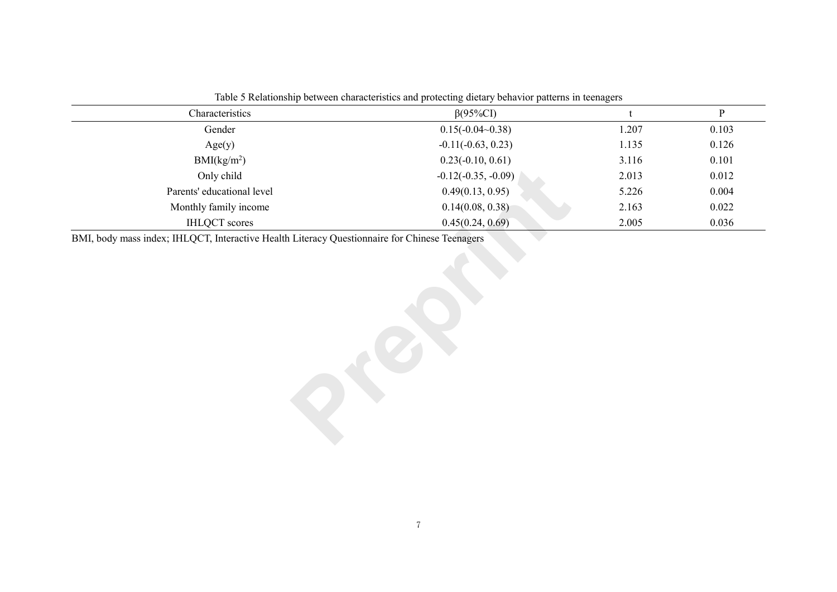| Characteristics            | $\beta$ (95%CI)       | $\mathbf t$ | $\mathbf{P}$ |
|----------------------------|-----------------------|-------------|--------------|
| Gender                     | $0.15(-0.04-0.38)$    | 1.207       | 0.103        |
| Age(y)                     | $-0.11(-0.63, 0.23)$  | 1.135       | 0.126        |
| BMI(kg/m <sup>2</sup> )    | $0.23(-0.10, 0.61)$   | 3.116       | 0.101        |
| Only child                 | $-0.12(-0.35, -0.09)$ | 2.013       | 0.012        |
| Parents' educational level | 0.49(0.13, 0.95)      | 5.226       | 0.004        |
| Monthly family income      | 0.14(0.08, 0.38)      | 2.163       | 0.022        |
| <b>IHLQCT</b> scores       | 0.45(0.24, 0.69)      | 2.005       | 0.036        |
|                            |                       |             |              |

Table 5 Relationship between characteristics and protecting dietary behavior patterns in teenagers